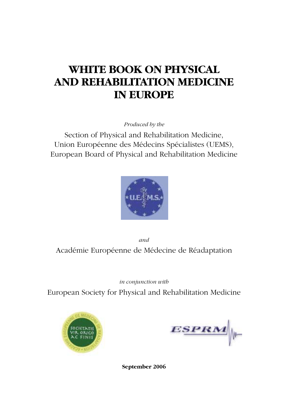# **WHITE BOOK ON PHYSICAL AND REHABILITATION MEDICINE IN EUROPE**

*Produced by the* 

Section of Physical and Rehabilitation Medicine, Union Européenne des Médecins Spécialistes (UEMS), European Board of Physical and Rehabilitation Medicine



*and*  Académie Européenne de Médecine de Réadaptation

*in conjunction with*

European Society for Physical and Rehabilitation Medicine



 $ESPRM$ 

**September 2006**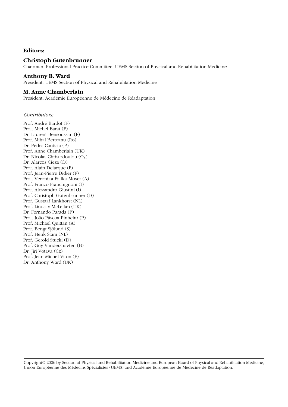# **Editors:**

# **Christoph Gutenbrunner**

Chairman, Professional Practice Committee, UEMS Section of Physical and Rehabilitation Medicine

# **Anthony B. Ward**

President, UEMS Section of Physical and Rehabilitation Medicine

# **M. Anne Chamberlain**

President, Académie Européenne de Médecine de Réadaptation

## *Contributors:*

Prof. André Bardot (F) Prof. Michel Barat (F) Dr. Laurent Bensoussan (F) Prof. Mihai Berteanu (Ro) Dr. Pedro Cantista (P) Prof. Anne Chamberlain (UK) Dr. Nicolas Christodoulou (Cy) Dr. Alarcos Cieza (D) Prof. Alain Delarque (F) Prof. Jean-Pierre Didier (F) Prof. Veronika Fialka-Moser (A) Prof. Franco Franchignoni (I) Prof. Alessandro Giustini (I) Prof. Christoph Gutenbrunner (D) Prof. Gustaaf Lankhorst (NL) Prof. Lindsay McLellan (UK) Dr. Fernando Parada (P) Prof. João Páscoa Pinheiro (P) Prof. Michael Quittan (A) Prof. Bengt Sjölund (S) Prof. Henk Stam (NL) Prof. Gerold Stucki (D) Prof. Guy Vanderstraeten (B) Dr. Jiri Votava (Cz) Prof. Jean-Michel Viton (F) Dr. Anthony Ward (UK)

Copyright© 2006 by Section of Physical and Rehabilitation Medicine and European Board of Physical and Rehabilitation Medicine, Union Européenne des Médecins Spécialistes (UEMS) and Académie Européenne de Médecine de Réadaptation.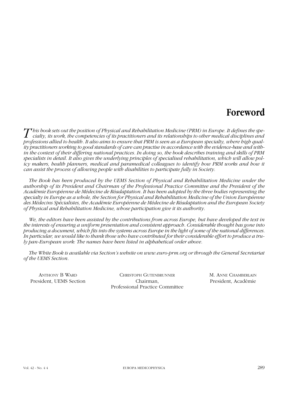# **Foreword**

 $\overline{T}$  his book sets out the position of Physical and Rehabilitation Medicine (PRM) in Europe. It defines the specialty, its work, the competencies of its practitioners and its relationships to other medical disciplines *professions allied to health. It also aims to ensure that PRM is seen as a European specialty, where high quality practitioners working to good standards of care can practise in accordance with the evidence-base and within the context of their differing national practices. In doing so, the book describes training and skills of PRM specialists in detail. It also gives the underlying principles of specialised rehabilitation, which will allow policy makers, health planners, medical and paramedical colleagues to identify how PRM works and how it can assist the process of allowing people with disabilities to participate fully in Society.* 

*The Book has been produced by the UEMS Section of Physical and Rehabilitation Medicine under the authorship of its President and Chairman of the Professional Practice Committee and the President of the Académie Européenne de Médecine de Réadaptation. It has been adopted by the three bodies representing the specialty in Europe as a whole, the Section for Physical and Rehabilitation Medicine of the Union Européenne des Médecins Spécialistes, the Académie Européenne de Médecine de Réadaptation and the European Society of Physical and Rehabilitation Medicine, whose participation give it its authority.* 

*We, the editors have been assisted by the contributions from across Europe, but have developed the text in the interests of ensuring a uniform presentation and consistent approach. Considerable thought has gone into producing a document, which fits into the systems across Europe in the light of some of the national differences. In particular, we would like to thank those who have contributed for their considerable effort to produce a truly pan-European work: The names have been listed in alphabetical order above.*

*The White Book is available via Section's website on www.euro-prm.org or through the General Secretariat of the UEMS Section.*

ANTHONY B WARD **CHRISTOPH GUTENBRUNNER** M. ANNE CHAMBERLAIN President, UEMS Section Chairman, President, Académie Professional Practice Committee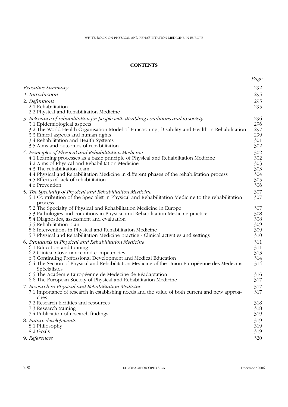# **CONTENTS**

|                                                                                                                                              | Page       |
|----------------------------------------------------------------------------------------------------------------------------------------------|------------|
| Executive Summary                                                                                                                            | 292        |
| 1. Introduction                                                                                                                              | 295        |
| 2. Definitions                                                                                                                               | 295        |
| 2.1 Rehabilitation                                                                                                                           | 295        |
| 2.2 Physical and Rehabilitation Medicine                                                                                                     |            |
| 3. Relevance of rebabilitation for people with disabling conditions and to society                                                           | 296<br>296 |
| 3.1 Epidemiological aspects<br>3.2 The World Health Organisation Model of Functioning, Disability and Health in Rehabilitation               | 297        |
| 3.3 Ethical aspects and human rights                                                                                                         | 299        |
| 3.4 Rehabilitation and Health Systems                                                                                                        | 301        |
| 3.5 Aims and outcomes of rehabilitation                                                                                                      | 302        |
| 4. Principles of Physical and Rehabilitation Medicine<br>4.1 Learning processes as a basic principle of Physical and Rehabilitation Medicine | 302<br>302 |
| 4.2 Aims of Physical and Rehabilitation Medicine                                                                                             | 303        |
| 4.3 The rehabilitation team                                                                                                                  | 303        |
| 4.4 Physical and Rehabilitation Medicine in different phases of the rehabilitation process                                                   | 304        |
| 4.5 Effects of lack of rehabilitation<br>4.6 Prevention                                                                                      | 305<br>306 |
| 5. The Speciality of Physical and Rehabilitation Medicine                                                                                    | 307        |
| 5.1 Contribution of the Specialist in Physical and Rehabilitation Medicine to the rehabilitation                                             | 307        |
| process                                                                                                                                      |            |
| 5.2 The Specialty of Physical and Rehabilitation Medicine in Europe                                                                          | 307        |
| 5.3 Pathologies and conditions in Physical and Rehabilitation Medicine practice<br>5.4 Diagnostics, assessment and evaluation                | 308<br>308 |
| 5.5 Rehabilitation plan                                                                                                                      | 309        |
| 5.6 Interventions in Physical and Rehabilitation Medicine                                                                                    | 309        |
| 5.7 Physical and Rehabilitation Medicine practice - Clinical activities and settings                                                         | 310        |
| 6. Standards in Physical and Rehabilitation Medicine<br>6.1 Education and training                                                           | 311<br>311 |
| 6.2 Clinical Governance and competencies                                                                                                     | 313        |
| 6.3 Continuing Professional Development and Medical Education                                                                                | 314        |
| 6.4 The Section of Physical and Rehabilitation Medicine of the Union Européenne des Médecins                                                 | 314        |
| Spécialistes<br>6.5 The Académie Européenne de Médecine de Réadaptation                                                                      | 316        |
| 6.6 The European Society of Physical and Rehabilitation Medicine                                                                             | 317        |
| 7. Research in Physical and Rehabilitation Medicine                                                                                          | 317        |
| 7.1 Importance of research in establishing needs and the value of both current and new approa-                                               | 317        |
| ches<br>7.2 Research facilities and resources                                                                                                | 318        |
| 7.3 Research training                                                                                                                        | 318        |
| 7.4 Publication of research findings                                                                                                         | 319        |
| 8. Future developments                                                                                                                       | 319        |
| 8.1 Philosophy<br>8.2 Goals                                                                                                                  | 319        |
| 9. References                                                                                                                                | 319        |
|                                                                                                                                              | 320        |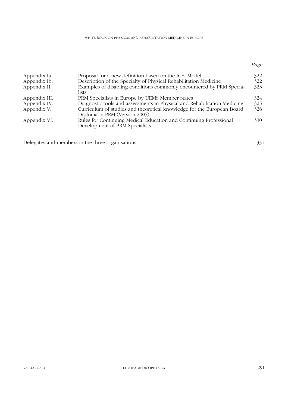| Appendix Ia.  | Proposal for a new definition based on the ICF-Model                                                    | 322 |
|---------------|---------------------------------------------------------------------------------------------------------|-----|
| Appendix Ib.  | Description of the Specialty of Physical Rehabilitation Medicine                                        | 322 |
| Appendix II.  | Examples of disabling conditions commonly encountered by PRM Specia-<br><i>lists</i>                    | 323 |
| Appendix III. | PRM Specialists in Europe by UEMS Member States                                                         | 324 |
| Appendix IV.  | Diagnostic tools and assessments in Physical and Rehabilitation Medicine                                | 325 |
| Appendix V.   | Curriculum of studies and theoretical knowledge for the European Board<br>Diploma in PRM (Version 2005) | 326 |
| Appendix VI.  | Rules for Continuing Medical Education and Continuing Professional<br>Development of PRM Specialists    | 330 |

Delegates and members in the three organisations 331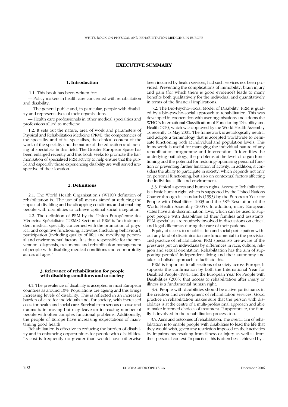## **EXECUTIVE SUMMARY**

## **1. Introduction**

1.1. This book has been written for:

**1.** — Policy makers in health care concerned with rehabilitation and disability.

**1.** — The general public and, in particular, people with disability and representatives of their organisations.

**1.** — Health care professionals in other medical specialties and professions allied to medicine.

**1.** 1.2. It sets out the nature, area of work and parameters of Physical and Rehabilitation Medicine (PRM), the competencies of the speciality and of its specialists, the clinical content of the work of the specialty and the nature of the education and training of specialists in this field. The Greater European Space has been enlarged recently and this book seeks to promote the harmonisation of specialised PRM activity to help ensure that the public and especially those experiencing disability are well served irrespective of their location.

#### **2. Definitions**

**1.** 2.1. The World Health Organisation's (WHO) definition of rehabilitation is: 'The use of all means aimed at reducing the impact of disabling and handicapping conditions and at enabling people with disabilities to achieve optimal social integration"

**1.** 2.2. The definition of PRM by the Union Européenne des Médecins Spécialistes (UEMS) Section of PRM is "an independent medical specialty concerned with the promotion of physical and cognitive functioning, activities (including behaviour), participation (including quality of life) and modifying personal and environmental factors. It is thus responsible for the prevention, diagnosis, treatments and rehabilitation management of people with disabling medical conditions and co-morbidity across all ages."

#### **3. Relevance of rehabilitation for people with disabling conditions and to society**

**1.** 3.1. The prevalence of disability is accepted in most European countries as around 10%. Populations are ageing and this brings increasing levels of disability. This is reflected in an increased burden of care for individuals and, for society, with increased costs for health and social care. Survival from serious disease and trauma is improving but may leave an increasing number of people with often complex functional problems. Additionally, the people of Europe have increasing expectations of maintaining good health

Rehabilitation is effective in reducing the burden of disability and in enhancing opportunities for people with disabilities. Its cost is frequently no greater than would have otherwise been incurred by health services, had such services not been provided. Preventing the complications of immobility, brain injury and pain (for which there is good evidence) leads to many benefits both qualitatively for the individual and quantitatively in terms of the financial implications.

**1.** 3.2. The Bio-Psycho-Social Model of Disability. PRM is guided by a bio-psycho-social approach to rehabilitation. This was developed in cooperation with user organisations and adopts the WHO´s International Classification of Functioning Disability and Health (ICF), which was approved by the World Health Assembly as recently as May 2001. The framework is aetiologically neutral and adopts a terminology that is accepted worldwide to delineate functioning both at individual and population levels. This framework is useful for managing the individual nature of any rehabilitation programme and intervention. It identifies the underlying pathology, the problems at the level of organ functioning and the potential for restoring/optimising personal function or preventing further limitation of activity. In addition, it considers the ability to participate in society, which depends not only on personal functioning, but also on contextual factors affecting the individual's life and environment.

**1.** 3.3. Ethical aspects and human rights. Access to Rehabilitation is a basic human right, which is supported by the United Nations Charter through its standards (1993) by the European Year for People with Disabilities, 2003 and the 58th Resolution of the World Health Assembly (2005). In addition, many European states have anti-discrimination laws, which can be used to support people with disabilities ad their families and assistants. PRM specialists are routinely involved in discussions on ethical and legal dilemmas during the care of their patients.

Equity of access to rehabilitation and social participation without any kind of discrimination are fundamental to the provision and practice of rehabilitation. PRM specialists are aware of the pressures put on individuals by differences in race, culture, religion and sexual orientation. Rehabilitation has the aim of supporting peoples' independent living and their autonomy and takes a holistic approach to facilitate this.

PRM is important to all sections of society across Europe. It supports the confirmation by both the International Year for Disabled People (1981) and the European Year for People with Disabilities (2003) that access to rehabilitation after injury or illness is a fundamental human right.

**1.** 3.4. People with disabilities should be active participants in the creation and development of rehabilitation services. Good practice in rehabilitation makes sure that the person with disabilities is at the centre of a multi-professional approach and able to make informed choices of treatment. If appropriate, the family is involved in the rehabilitation process too.

**1.** 3.5. Aims and outcomes of rehabilitation. The overall aim of rehabilitation is to enable people with disabilities to lead the life that they would wish, given any restriction imposed on their activities by impairments resulting from illness or injury as well as from their personal context. In practice, this is often best achieved by a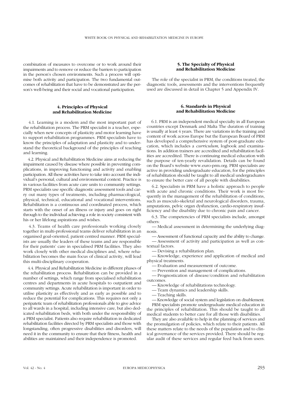combination of measures to overcome or to work around their impairments and to remove or reduce the barriers to participation in the person's chosen environments. Such a process will optimise both activity and participation. The two fundamental outcomes of rehabilitation that have to be demonstrated are the person's well-being and their social and vocational participation.

#### **4. Principles of Physical and Rehabilitation Medicine**

**1.** 4.1. Learning is a modern and the most important part of the rehabilitation process. The PRM specialist is a teacher, especially when new concepts of plasticity and motor learning have to support rehabilitation programmes. PRM specialists have to know the principles of adaptation and plasticity and to understand the theoretical background of the principles of teaching and learning.

**1.** 4.2. Physical and Rehabilitation Medicine aims at reducing the impairment caused by disease where possible in preventing complications, in improving functioning and activity and enabling participation. All these activities have to take into account the individual's personal, cultural and environmental context. Practice is in various facilities from acute care units to community settings. PRM specialists use specific diagnostic assessment tools and carry out many types of treatments, including pharmacological, physical, technical, educational and vocational interventions. Rehabilitation is a continuous and coordinated process, which starts with the onset of an illness or injury and goes on right through to the individual achieving a role in society consistent with his or her lifelong aspirations and wishes.

**1.** 4.3. Teams of health care professionals working closely together in multi-professional teams deliver rehabilitation in an organised goal-oriented, patient centred manner. PRM specialists are usually the leaders of these teams and are responsible for their patients' care in specialised PRM facilities. They also work closely with other medical disciplines and, where rehabilitation becomes the main focus of clinical activity, will lead this multi-disciplinary cooperation.

**1.** 4.4. Physical and Rehabilitation Medicine in different phases of the rehabilitation process. Rehabilitation can be provided in a number of settings, which range from specialised rehabilitation centres and departments in acute hospitals to outpatient and community settings. Acute rehabilitation is important in order to utilise plasticity as effectively and as early as possible and to reduce the potential for complications. This requires not only a peripatetic team of rehabilitation professionals able to give advice to all wards in a hospital, including intensive care, but also dedicated rehabilitation beds, with both under the responsibility of a PRM specialist. Patients also require rehabilitation in dedicated rehabilitation facilities directed by PRM specialists and those with longstanding, often progressive disabilities and disorders, will need it in the community to ensure that their fitness, health and abilities are maintained and their independence is promoted.

#### **5. The Specialty of Physical and Rehabilitation Medicine**

The role of the specialist in PRM, the conditions treated, the diagnostic tools, assessments and the interventions frequently used are discussed in detail in Chapter 5 and Appendix IV.

#### **6. Standards in Physical and Rehabilitation Medicine**

**1.** 6.1. PRM is an independent medical specialty in all European countries except Denmark and Malta The duration of training is usually at least 4 years. There are variations in the training and content of work across Europe but the European Board of PRM has developed a comprehensive system of post-graduate education, which includes a *curriculum*, logbook and examinations. In addition trainers are accredited and rehabilitation facilities are accredited. There is continuing medical education with the purpose of ten-yearly revalidation. Details can be found on the Board's website www.euro-prm.org. PRM specialists are active in providing undergraduate education, for the principles of rehabilitation should be taught to all medical undergraduates to ensure the better care of all people with disabilities.

**1.** 6.2. Specialists in PRM have a holistic approach to people with acute and chronic conditions. Their work is most frequently in the management of the rehabilitation of conditions, such as musculo-skeletal and neurological disorders, trauma, amputations, pelvic organ dysfunction, cardio-respiratory insufficiency and the disability due to chronic pain and cancer.

**1.** 6.3. The competencies of PRM specialists include, amongst others:

— Medical assessment in determining the underlying diagnosis.

— Assessment of functional capacity and the ability to change. — Assessment of activity and participation as well as contextual factors.

— Devising a rehabilitation plan.

— Knowledge, experience and application of medical and physical treatments.

— Evaluation and measurement of outcome.

— Prevention and management of complications.

— Prognostication of disease/condition and rehabilitation outcomes.

— Knowledge of rehabilitations technology.

— Team dynamics and leadership skills.

— Teaching skills.

— Knowledge of social system and legislation on disablement. PRM specialists promote undergraduate medical education in the principles of rehabilitation. This should be taught to all medical students to better care for all those with disabilities.

They are also available to help in the planning of services and the promulgation of policies, which relate to their patients. All these matters relate to the needs of the population and to clinical governance of the services provided. There should be regular audit of these services and regular feed back from users.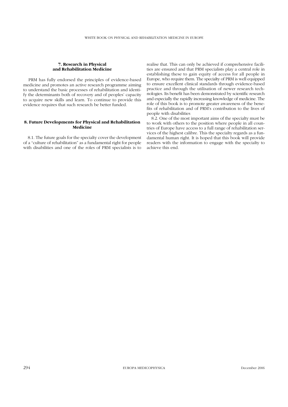#### **7. Research in Physical and Rehabilitation Medicine**

PRM has fully endorsed the principles of evidence-based medicine and promotes an active research programme aiming to understand the basic processes of rehabilitation and identify the determinants both of recovery and of peoples' capacity to acquire new skills and learn. To continue to provide this evidence requires that such research be better funded.

## **8. Future Developments for Physical and Rehabilitation Medicine**

**1.** 8.1. The future goals for the specialty cover the development of a "culture of rehabilitation" as a fundamental right for people with disabilities and one of the roles of PRM specialists is to realise that. This can only be achieved if comprehensive facilities are ensured and that PRM specialists play a central role in establishing these to gain equity of access for all people in Europe, who require them. The specialty of PRM is well equipped to ensure excellent clinical standards through evidence-based practice and through the utilisation of newer research technologies. Its benefit has been demonstrated by scientific research and especially the rapidly increasing knowledge of medicine. The role of this book is to promote greater awareness of the benefits of rehabilitation and of PRM's contribution to the lives of people with disabilities

**1.** 8.2. One of the most important aims of the specialty must be to work with others to the position where people in all countries of Europe have access to a full range of rehabilitation services of the highest calibre. This the specialty regards as a fundamental human right. It is hoped that this book will provide readers with the information to engage with the specialty to achieve this end.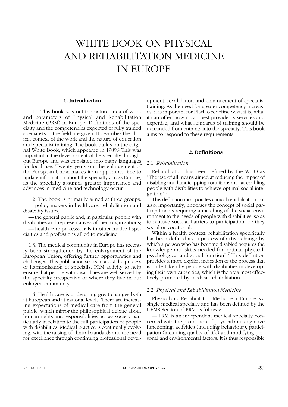# WHITE BOOK ON PHYSICAL AND REHABILITATION MEDICINE IN EUROPE

# **1. Introduction**

1.1. This book sets out the nature, area of work and parameters of Physical and Rehabilitation Medicine (PRM) in Europe. Definitions of the specialty and the competencies expected of fully trained specialists in the field are given. It describes the clinical context of the work and the nature of education and specialist training. The book builds on the original White Book, which appeared in 1989.1 This was important in the development of the specialty throughout Europe and was translated into many languages for local use. Twenty years on, the enlargement of the European Union makes it an opportune time to update information about the specialty across Europe, as the specialty assumes greater importance and advances in medicine and technology occur.

1.2. The book is primarily aimed at three groups: — policy makers in healthcare, rehabilitation and disability issues;

— the general public and, in particular, people with disabilities and representatives of their organisations;

— health care professionals in other medical specialties and professions allied to medicine.

1.3. The medical community in Europe has recently been strengthened by the enlargement of the European Union, offering further opportunities and challenges. This publication seeks to assist the process of harmonisation of specialist PRM activity to help ensure that people with disabilities are well served by the specialty irrespective of where they live in our enlarged community.

1.4. Health care is undergoing great changes both at European and at national levels. There are increasing expectations of medical care from the general public, which mirror the philosophical debate about human rights and responsibilities across society particularly in relation to the full participation of people with disabilities. Medical practice is continually evolving, with the raising of clinical standards and the need for excellence through continuing professional development, revalidation and enhancement of specialist training. As the need for greater competency increases, it is important for PRM to redefine what it is, what it can offer, how it can best provide its services and expertise, and what standards of training should be demanded from entrants into the specialty. This book aims to respond to these requirements.

## **2. Definitions**

#### 2.1. *Rehabilitation*

Rehabilitation has been defined by the WHO as "The use of all means aimed at reducing the impact of disabling and handicapping conditions and at enabling people with disabilities to achieve optimal social integration".2

This definition incorporates clinical rehabilitation but also, importantly, endorses the concept of social participation as requiring a matching of the social environment to the needs of people with disabilities, so as to remove societal barriers to participation, be they social or vocational.

Within a health context, rehabilitation specifically has been defined as "a process of active change by which a person who has become disabled acquires the knowledge and skills needed for optimal physical, psychological and social function".3 This definition provides a more explicit indication of the process that is undertaken by people with disabilities in developing their own capacities, which is the area most effectively promoted by medical rehabilitation.

## 2.2. *Physical and Rehabilitation Medicine*

Physical and Rehabilitation Medicine in Europe is a single medical specialty and has been defined by the UEMS Section of PRM as follows:

— PRM is an independent medical specialty concerned with the promotion of physical and cognitive functioning, activities (including behaviour), participation (including quality of life) and modifying personal and environmental factors. It is thus responsible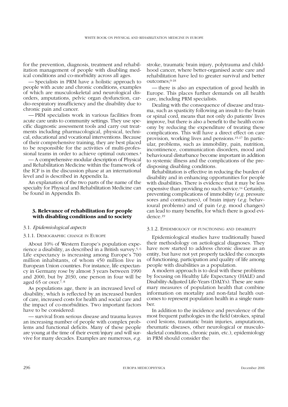for the prevention, diagnosis, treatment and rehabilitation management of people with disabling medical conditions and co-morbidity across all ages.

— Specialists in PRM have a holistic approach to people with acute and chronic conditions, examples of which are musculoskeletal and neurological disorders, amputations, pelvic organ dysfunction, cardio-respiratory insufficiency and the disability due to chronic pain and cancer.

— PRM specialists work in various facilities from acute care units to community settings. They use specific diagnostic assessment tools and carry out treatments including pharmacological, physical, technical, educational and vocational interventions. Because of their comprehensive training, they are best placed to be responsible for the activities of multi-professional teams in order to achieve optimal outcomes.4

— A comprehensive modular description of Physical and Rehabilitation Medicine within the framework of the ICF is in the discussion phase at an international level and is described in Appendix Ia.

An explanation of the two parts of the name of the specialty for Physical and Rehabilitation Medicine can be found in Appendix Ib.

## **3. Relevance of rehabilitation for people with disabling conditions and to society**

#### 3.1. *Epidemiological aspects*

## 3.1.1. DEMOGRAPHIC CHANGE IN EUROPE

About 10% of Western Europe's population experience a disability, as described in a British survey.5, 6 Life expectancy is increasing among Europe's 700 million inhabitants, of whom 450 million live in European Union countries. For instance, life expectancy in Germany rose by almost 3 years between 1990 and 2000, but by 2030, one person in four will be aged 65 or over.7, 8

As populations age, there is an increased level of disability, which is reflected by an increased burden of care, increased costs for health and social care and the impact of co-morbidities. Two important factors have to be considered:

— survival from serious disease and trauma leaves an increasing number of people with complex problems and functional deficits. Many of these people are young at the time of their event/injury and will survive for many decades. Examples are numerous, *e.g.* stroke, traumatic brain injury, polytrauma and childhood cancer, where better-organised acute care and rehabilitation have led to greater survival and better outcomes;9-18

— there is also an expectation of good health in Europe. This places further demands on all health care, including PRM specialists.

Dealing with the consequence of disease and trauma, such as spasticity following an insult to the brain or spinal cord, means that not only do patients' lives improve, but there is also a benefit to the health economy by reducing the expenditure of treating these complications. This will have a direct effect on care provision, working lives and pensions.15-17 In particular, problems, such as immobility, pain, nutrition, incontinence, communication disorders, mood and behavioural disturbance become important in addition to systemic illness and the complications of the predisposing disabling conditions.

Rehabilitation is effective in reducing the burden of disability and in enhancing opportunities for people with disabilities. There is evidence that it may be less expensive than providing no such service.14 Certainly, preventing complications of immobility (*e.g.* pressure sores and contractures), of brain injury (*e.g.* behavioural problems) and of pain (*e.g.* mood changes) can lead to many benefits, for which there is good evidence.19

#### 3.1.2. EPIDEMIOLOGY OF FUNCTIONING AND DISABILITY

Epidemiological studies have traditionally based their methodology on aetiological diagnoses. They have now started to address chronic disease as an entity, but have not yet properly tackled the concepts of functioning, participation and quality of life among people with disabilities as a population.

A modern approach is to deal with these problems by focusing on Healthy Life Expectancy (HALE) and Disability-Adjusted Life-Years (DALYs). These are summary measures of population health that combine information on mortality and non-fatal health outcomes to represent population health in a single number.

In addition to the incidence and prevalence of the most frequent pathologies in the field (strokes, spinal cord lesions, traumatic brain injuries, amputations, rheumatic diseases, other neurological or musculoskeletal conditions, chronic pain, etc.), epidemiology in PRM should consider the: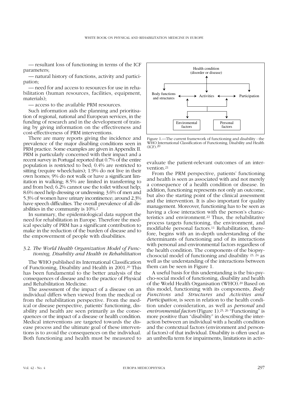— resultant loss of functioning in terms of the ICF parameters;

— natural history of functions, activity and participation;

— need for and access to resources for use in rehabilitation (human resources, facilities, equipment, materials);

— access to the available PRM resources.

Such information aids the planning and prioritisation of regional, national and European services, in the funding of research and in the development of training by giving information on the effectiveness and cost-effectiveness of PRM interventions.

There are many reports giving the incidence and prevalence of the major disabling conditions seen in PRM practice. Some examples are given in Appendix II. PRM is particularly concerned with their impact and a recent survey in Portugal reported that 0.7% of the entire population is restricted to bed; 0.4% are restricted to sitting (require wheelchairs); 1.9% do not live in their own homes; 9% do not walk or have a significant limitation in walking; 8.5% are limited in transferring to and from bed; 6.2% cannot use the toilet without help; 8.6% need help dressing or undressing; 3.6% of men and 5.3% of women have urinary incontinence; around 2.3% have speech difficulties. The overall prevalence of all disabilities in the community is 10%.2

In summary, the epidemiological data support the need for rehabilitation in Europe. Therefore the medical specialty of PRM has a significant contribution to make in the reduction of the burden of disease and to the empowerment of people with disabilities.

## 3.2. *The World Health Organization Model of Functioning, Disability and Health in Rehabilitation*

The WHO published its International Classification of Functioning, Disability and Health in 2001.20 This has been fundamental to the better analysis of the consequences of disease and to the practice of Physical and Rehabilitation Medicine.

The assessment of the impact of a disease on an individual differs when viewed from the medical or from the rehabilitation perspective. From the medical or disease perspective, patients' functioning, disability and health are seen primarily as the consequences or the impact of a disease or health condition. Medical interventions are targeted towards the disease process and the ultimate goal of these interventions is to avoid the consequences on the individual. Both functioning and health must be measured to



Figure 1.—The current framework of functioning and disability - the WHO International Classification of Functioning, Disability and Health  $(ICF)$ <sup>20</sup>

evaluate the patient-relevant outcomes of an intervention.21

From the PRM perspective, patients' functioning and health is seen as associated with and not merely a consequence of a health condition or disease. In addition, functioning represents not only an outcome, but also the starting point of the clinical assessment and the intervention. It is also important for quality management. Moreover, functioning has to be seen as having a close interaction with the person's characteristics and environment.22 Thus, the rehabilitative process targets functioning, the environment, and modifiable personal factors.11 Rehabilitation, therefore, begins with an in-depth understanding of the determinants of functioning and of its interactions with personal and environmental factors regardless of the health condition. The components of the biopsychosocial model of functioning and disability 23, 24 as well as the understanding of the interactions between them can be seen in Figure 1.

A useful basis for this understanding is the bio-psycho-social model of functioning, disability and health of the World Health Organisation (WHO).20 Based on this model, functioning with its components, *Body Functions* and *Structures* and *Activities and Participation*, is seen in relation to the health condition under consideration, as well as *personal* and *environmental factors* (Figure 1).25, 26 "Functioning" is more positive than "disability" in describing the interaction between an individual with a health condition and the contextual factors (environment and personal factors) of that individual. Disability is often used as an umbrella term for impairments, limitations in activ-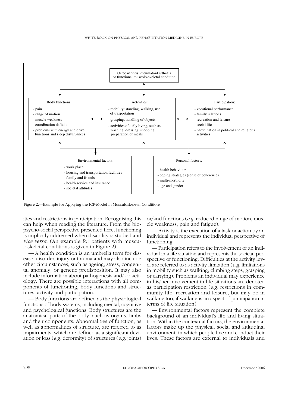

Figure 2.—Example for Applying the ICF-Model in Musculoskeletal Conditions.

ities and restrictions in participation. Recognising this can help when reading the literature. From the biopsycho-social perspective presented here, functioning is implicitly addressed when disability is studied and *vice versa*. (An example for patients with musculoskeletal conditions is given in Figure 2).

— A health condition is an umbrella term for disease, disorder, injury or trauma and may also include other circumstances, such as ageing, stress, congenital anomaly, or genetic predisposition. It may also include information about pathogenesis and/ or aetiology. There are possible interactions with all components of functioning, body functions and structures, activity and participation.

— Body functions are defined as the physiological functions of body systems, including mental, cognitive and psychological functions. Body structures are the anatomical parts of the body, such as organs, limbs and their components. Abnormalities of function, as well as abnormalities of structure, are referred to as impairments, which are defined as a significant deviation or loss (*e.g.* deformity) of structures (*e.g.* joints) or/and functions (*e.g.* reduced range of motion, muscle weakness, pain and fatigue).

— Activity is the execution of a task or action by an individual and represents the individual perspective of functioning.

— Participation refers to the involvement of an individual in a life situation and represents the societal perspective of functioning. Difficulties at the activity level are referred to as activity limitation (*e.g.* limitations in mobility such as walking, climbing steps, grasping or carrying). Problems an individual may experience in his/her involvement in life situations are denoted as participation restriction (*e.g.* restrictions in community life, recreation and leisure, but may be in walking too, if walking is an aspect of participation in terms of life situation).

— Environmental factors represent the complete background of an individual's life and living situation. Within the contextual factors, the environmental factors make up the physical, social and attitudinal environment, in which people live and conduct their lives. These factors are external to individuals and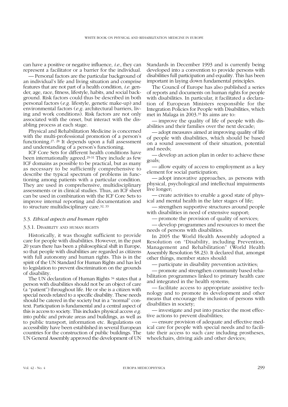can have a positive or negative influence, *i.e.*, they can represent a facilitator or a barrier for the individual.

— Personal factors are the particular background of an individual's life and living situation and comprise features that are not part of a health condition, *i.e.* gender, age, race, fitness, lifestyle, habits, and social background. Risk factors could thus be described in both personal factors (*e.g.* lifestyle, genetic make-up) and environmental factors (*e.g.* architectural barriers, living and work conditions). Risk factors are not only associated with the onset, but interact with the disabling process at each stage.

Physical and Rehabilitation Medicine is concerned with the multi-professional promotion of a person's functioning.27, 28 It depends upon a full assessment and understanding of a person's functioning.

ICF Core Sets for different health conditions have been internationally agreed.29-31 They include as few ICF domains as possible to be practical, but as many as necessary to be sufficiently comprehensive to describe the typical spectrum of problems in functioning among patients with a particular condition. They are used in comprehensive, multidisciplinary assessments or in clinical studies. Thus, an ICF sheet can be used in combination with the ICF Core Sets to improve internal reporting and documentation and to structure multidisciplinary care.32, 33

#### 3.3. *Ethical aspects and human rights*

#### 3.3.1. DISABILITY AND HUMAN RIGHTS

Historically, it was thought sufficient to provide care for people with disabilities. However, in the past 20 years there has been a philosophical shift in Europe, so that people with disabilities are regarded as citizens with full autonomy and human rights. This is in the spirit of the UN Standard for Human Rights and has led to legislation to prevent discrimination on the grounds of disability.

The UN declaration of Human Rights <sup>34</sup> states that a person with disabilities should not be an object of care (a "patient") throughout life. He or she is a citizen with special needs related to a specific disability. These needs should be catered in the society but in a "normal" context. Participation is fundamental and a central aspect of this is access to society. This includes physical access *e.g.* into public and private areas and buildings, as well as to public transport, information etc. Regulations on accessibility have been established in several European countries for the construction of public buildings. The UN General Assembly approved the development of UN Standards in December 1993 and is currently being developed into a convention to provide persons with disabilities full participation and equality. This has been important in laying down fundamental principles.

The Council of Europe has also published a series of reports and documents on human rights for people with disabilities. In particular, it facilitated a declaration of European Ministers responsible for the Integration Policies for People with Disabilities, which met in Malaga in 2003.35 Its aims are to:

— improve the quality of life of people with disabilities and their families over the next decade;

— adopt measures aimed at improving quality of life of people with disabilities, which should be based on a sound assessment of their situation, potential and needs;

— develop an action plan in order to achieve these goals;

— allow equity of access to employment as a key element for social participation;

— adopt innovative approaches, as persons with physical, psychological and intellectual impairments live longer;

— create activities to enable a good state of physical and mental health in the later stages of life;

— strengthen supportive structures around people with disabilities in need of extensive support;

— promote the provision of quality of services;

— develop programmes and resources to meet the needs of persons with disabilities.

In 2005 the World Health Assembly adopted a Resolution on "Disability, including Prevention, Management and Rehabilitation" (World Health Assembly Resolution 58.23). It declared that, amongst other things, member states should:

— participate in disability prevention activities;

— promote and strengthen community based rehabilitation programmes linked to primary health care and integrated in the health systems;

— facilitate access to appropriate assistive technology and to promote its development and other means that encourage the inclusion of persons with disabilities in society;

— investigate and put into practice the most effective actions to prevent disabilities;

— ensure provision of adequate and effective medical care for people with special needs and to facilitate their access to such care including prostheses, wheelchairs, driving aids and other devices;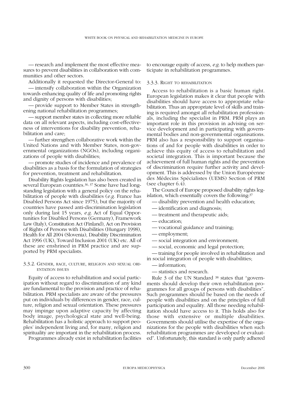— research and implement the most effective measures to prevent disabilities in collaboration with communities and other sectors.

Additionally it requested the Director-General to:

— intensify collaboration within the Organization towards enhancing quality of life and promoting rights and dignity of persons with disabilities;

— provide support to Member States in strengthening national rehabilitation programmes;

— support member states in collecting more reliable data on all relevant aspects, including cost-effectiveness of interventions for disability prevention, rehabilitation and care;

— further strengthen collaborative work within the United Nations and with Member States, non-governmental organizations (NGOs), including organizations of people with disabilities;

— promote studies of incidence and prevalence of disabilities as a basis for the formulation of strategies for prevention, treatment and rehabilitation.

Disability Rights legislation has also been created in several European countries.36, 37 Some have had longstanding legislation with a general policy on the rehabilitation of people with disabilities (*e.g.* France has Disabled Persons Act since 1975), but the majority of countries have passed anti-discrimination legislation only during last 15 years, *e.g.* Act of Equal Opportunities for Disabled Persons (Germany), Framework Law (Italy), Constitution Act (Finland), Act on Provision of Rights of Persons with Disabilities (Hungary 1998), Health for All 2004 (Slovenia), Disability Discrimination Act 1996 (UK), Toward Inclusion 2001 (UK) etc. All of these are enshrined in PRM practice and are supported by PRM specialists.

## 3.3.2. GENDER, RACE, CULTURE, RELIGION AND SEXUAL ORI-ENTATION ISSUES

Equity of access to rehabilitation and social participation without regard to discrimination of any kind are fundamental to the provision and practice of rehabilitation. PRM specialists are aware of the pressures put on individuals by differences in gender, race, culture, religion and sexual orientation. These pressures may impinge upon adaptive capacity by affecting body image, psychological state and well-being. Rehabilitation has a holistic approach to support peoples' independent living and, for many, religion and spirituality are important in the rehabilitation process.

Programmes already exist in rehabilitation facilities

to encourage equity of access, *e.g.* to help mothers participate in rehabilitation programmes.

## 3.3.3. RIGHT TO REHABILITATION

Access to rehabilitation is a basic human right. European legislation makes it clear that people with disabilities should have access to appropriate rehabilitation. Thus an appropriate level of skills and training is required amongst all rehabilitation professionals, including the specialist in PRM. PRM plays an important role in this provision in advising on service development and in participating with governmental bodies and non-governmental organisations. PRM also has a responsibility to support organisations of and for people with disabilities in order to achieve this equity of access to rehabilitation and societal integration. This is important because the achievement of full human rights and the prevention of discrimination require further activity and development. This is addressed by the Union Européenne des Médecins Spécialistes (UEMS) Section of PRM (see chapter 6.4).

The Council of Europe proposed disability rights legislation, which essentially covers the following:37

- disability prevention and health education;
- identification and diagnosis;
- treatment and therapeutic aids;
- education;
- vocational guidance and training;
- employment;
- social integration and environment;
- social, economic and legal protection;

— training for people involved in rehabilitation and in social integration of people with disabilities;

— information;

— statistics and research.

Rule 3 of the UN Standard 38 states that "governments should develop their own rehabilitation programmes for all groups of persons with disabilities". Such programmes should be based on the needs of people with disabilities and on the principles of full participation and equality. All those needing rehabilitation should have access to it. This holds also for those with extensive or multiple disabilities. Governments should utilise the expertise of the organizations for the people with disabilities when such rehabilitation programmes are developed or evaluated". Unfortunately, this standard is only partly adhered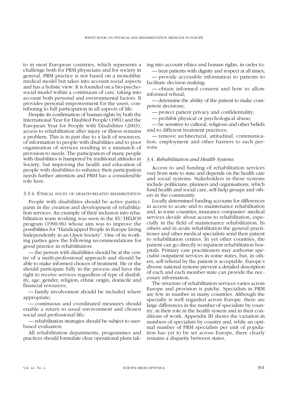to in most European countries, which represents a challenge both for PRM physicians and for society in general. PRM practice is not based on a monolithic medical model but takes into account social aspects and has a holistic view. It is founded on a bio-psychosocial model within a continuum of care, taking into account both personal and environmental factors. It provides personal empowerment for the users, contributing to full participation in all aspects of life.

Despite its confirmation of human rights by both the International Year for Disabled People (1981) and the European Year for People with Disabilities (2003), access to rehabilitation after injury or illness remains a problem. This is in part due to a lack of resources, of information to people with disabilities and to poor organisation of services resulting in a mismatch of provision to needs. The participation of many people with disabilities is hampered by traditional attitudes in Society, but improving the health and education of people with disabilities to enhance their participation needs further attention and PRM has a considerable role here.

#### 3.3.4. ETHICAL ISSUES OF HEALTH-RELATED REHABILITATION

People with disabilities should be active participants in the creation and development of rehabilitation services. An example of their inclusion into rehabilitation team working was seen in the EU HELIOS program (1990-96) whose aim was to improve the possibilities for "Handicapped People in Europe Living Independently in an Open Society". One of its working parties gave the following recommendations for good practice in rehabilitation:

— the person with disabilities should be at the centre of a multi-professional approach and should be able to make informed choices of treatment. He or she should participate fully in the process and have the right to receive services regardless of type of disability, age, gender, religion, ethnic origin, domicile and financial resources;

— family involvement should be included where appropriate;

— continuous and coordinated measures should enable a return to usual environment and chosen social and professional life;

— rehabilitation strategies should be subject to userbased evaluation.

All rehabilitation departments, programmes and practices should formulate clear operational plans taking into account ethics and human rights, in order to:

— treat patients with dignity and respect at all times; — provide accessible information to patients to

facilitate decision making; — obtain informed consent and how to allow informed refusal;

— determine the ability of the patient to make competent decisions;

— protect patient privacy and confidentiality;

— prohibit physical or psychological abuse;

— be sensitive to cultural, religious and other beliefs and to different treatment practices;

— remove architectural, attitudinal, communication, employment and other barriers to such persons.

#### 3.4. *Rehabilitation and Health Systems*

Access to and funding of rehabilitation services vary from state to state and depends on the health care and social systems. Stakeholders in these systems include politicians, planners and organisations, which fund health and social care, self-help groups and others in the community.

Locally determined funding accounts for differences in access to acute and to maintenance rehabilitation and, in some countries, insurance companies' medical services decide about access to rehabilitation, especially in the field of maintenance rehabilitation. In others and in acute rehabilitation the general practitioner and other medical specialists send their patient to rehabilitation centres. In yet other countries, the patient can go directly to inpatient rehabilitation hospitals. Primary care practitioners may authorise specialist outpatient services in some states, but, in others, self-referral by the patient is acceptable. Europe's diverse national systems prevent a detailed description of each and each member state can provide the necessary information.

The structure of rehabilitation services varies across Europe and provision is patchy. Specialists in PRM are few in number in many countries. Although the specialty is well regarded across Europe, there are large differences in the number of specialists by country, in their role in the health system and in their conditions of work. Appendix III shows the variation in numbers of specialists by country and, while an optimal number of PRM specialists per unit of population has yet to be set across Europe, there clearly remains a disparity between states.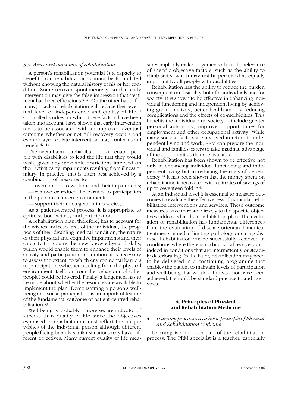## 3.5. *Aims and outcomes of rehabilitation*

A person's rehabilitation potential (*i.e.* capacity to benefit from rehabilitation) cannot be formulated without knowing the natural history of his or her condition. Some recover spontaneously, so that early intervention may give the false impression that treatment has been efficacious.39-41 On the other hand, for many, a lack of rehabilitation will reduce their eventual level of independence and quality of life.<sup>41</sup> Controlled studies, in which these factors have been taken into account, have shown that early intervention tends to be associated with an improved eventual outcome whether or not full recovery occurs and even delayed or late intervention may confer useful benefit.42, 43

The overall aim of rehabilitation is to enable people with disabilities to lead the life that they would wish, given any inevitable restrictions imposed on their activities by impairments resulting from illness or injury. In practice, this is often best achieved by a combination of measures to:

— overcome or to work around their impairments;

— remove or reduce the barriers to participation in the person's chosen environments;

— support their reintegration into society.

As a patient-centred process, it is appropriate to optimise both activity and participation.

A rehabilitation plan, therefore, has to account for the wishes and resources of the individual, the prognosis of their disabling medical condition, the nature of their physical and cognitive impairments and their capacity to acquire the new knowledge and skills, which would enable them to enhance their levels of activity and participation. In addition, it is necessary to assess the extent, to which environmental barriers to participation (whether resulting from the physical environment itself, or from the behaviour of other people) could be lowered. Finally, a judgement has to be made about whether the resources are available to implement the plan. Demonstrating a person's wellbeing and social participation is an important feature of the fundamental outcome of patient-centred rehabilitation 43

Well-being is probably a more secure indicator of success than quality of life since the objectives espoused in rehabilitation must reflect the unique wishes of the individual person although different people facing broadly similar situations may have different objectives. Many current quality of life measures implicitly make judgements about the relevance of specific objective factors, such as the ability to climb stairs, which may not be perceived as equally important by all people with disabilities.

Rehabilitation has the ability to reduce the burden consequent on disability both for individuals and for society. It is shown to be effective in enhancing individual functioning and independent living by achieving greater activity, better health and by reducing complications and the effects of co-morbidities. This benefits the individual and society to include greater personal autonomy, improved opportunities for employment and other occupational activity. While many societal factors are involved in return to independent living and work, PRM can prepare the individual and families/carers to take maximal advantage of the opportunities that are available.

Rehabilitation has been shown to be effective not only in enhancing individual functioning and independent living but in reducing the costs of dependency.44 It has been shown that the money spent on rehabilitation is recovered with estimates of savings of up to seventeen fold.45-47

At an individual level it is essential to measure outcomes to evaluate the effectiveness of particular rehabilitation interventions and services. These outcome measures have to relate directly to the specific objectives addressed in the rehabilitation plan. The evaluation of rehabilitation has fundamental differences from the evaluation of disease-orientated medical treatments aimed at limiting pathology or curing disease. Rehabilitation can be successfully achieved in conditions where there is no biological recovery and indeed in conditions that are intermittently or steadily deteriorating. In the latter, rehabilitation may need to be delivered in a continuing programme that enables the patient to maintain levels of participation and well-being that would otherwise not have been achieved. It should be standard practice to audit services.

## **4. Principles of Physical and Rehabilitation Medicine**

## 4.1. *Learning processes as a basic principle of Physical and Rehabilitation Medicine*

Learning is a modern part of the rehabilitation process. The PRM specialist is a teacher, especially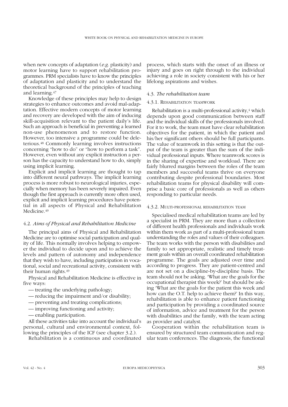when new concepts of adaptation (*e.g.* plasticity) and motor learning have to support rehabilitation programmes. PRM specialists have to know the principles of adaptation and plasticity and to understand the theoretical background of the principles of teaching and learning.47

Knowledge of these principles may help to design strategies to enhance outcomes and avoid mal-adaptation. Effective modern concepts of motor learning and recovery are developed with the aim of inducing skill-acquisition relevant to the patient daily's life. Such an approach is beneficial in preventing a learned non-use phenomenon and to restore function. However, too intensive a programme could be deleterious.48 Commonly learning involves instructions concerning "how to do" or "how to perform a task". However, even without any explicit instruction a person has the capacity to understand how to do, simply using implicit learning.

Explicit and implicit learning are thought to tap into different neural pathways. The implicit learning process is more robust to neurological injuries, especially when memory has been severely impaired. Even though the first approach is currently more often used, explicit and implicit learning procedures have potential in all aspects of Physical and Rehabilitation Medicine.<sup>49</sup>

## 4.2. *Aims of Physical and Rehabilitation Medicine*

The principal aims of Physical and Rehabilitation Medicine are to optimise social participation and quality of life. This normally involves helping to empower the individual to decide upon and to achieve the levels and pattern of autonomy and independence that they wish to have, including participation in vocational, social and recreational activity, consistent with their human rights.49

Physical and Rehabilitation Medicine is effective in five ways:

- treating the underlying pathology;
- reducing the impairment and/or disability;
- preventing and treating complications;
- improving functioning and activity;
- enabling participation.

All these activities take into account the individual's personal, cultural and environmental context, following the principles of the ICF (see chapter 3.2.).

Rehabilitation is a continuous and coordinated

process, which starts with the onset of an illness or injury and goes on right through to the individual achieving a role in society consistent with his or her lifelong aspirations and wishes.

## 4.3. *The rehabilitation team*

### 4.3.1. REHABILITATION TEAMWORK

Rehabilitation is a multi-professional activity, $4$  which depends upon good communication between staff and the individual skills of the professionals involved. For it to work, the team must have clear rehabilitation objectives for the patient, in which the patient and his/her significant others should be full participants. The value of teamwork in this setting is that the output of the team is greater than the sum of the individual professional inputs. Where teamwork scores is in the sharing of expertise and workload. There are fairly blurred margins between the roles of the team members and successful teams thrive on everyone contributing despite professional boundaries. Most rehabilitation teams for physical disability will comprise a basic core of professionals as well as others responding to particular needs.

## 4.3.2. MULTI-PROFESSIONAL REHABILITATION TEAM

Specialised medical rehabilitation teams are led by a specialist in PRM. They are more than a collection of different health professionals and individuals work within them work as part of a multi-professional team understanding the roles and values of their colleagues. The team works with the person with disabilities and family to set appropriate, realistic and timely treatment goals within an overall coordinated rehabilitation programme. The goals are adjusted over time and according to progress. They are patient-centred and are not set on a discipline-by-discipline basis. The team should not be asking. 'What are the goals for the occupational therapist this week?' but should be asking 'What are the goals for the patient this week and how can the O.T. help to achieve them?' In this way, rehabilitation is able to enhance patient functioning and participation by providing a coordinated source of information, advice and treatment for the person with disabilities and the family, with the team acting as provider and catalyst.

Cooperation within the rehabilitation team is ensured by structured team communication and regular team conferences. The diagnosis, the functional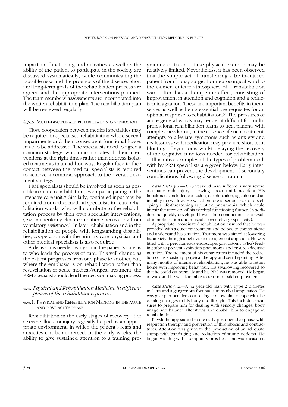impact on functioning and activities as well as the ability of the patient to participate in the society are discussed systematically, while communicating the possible risks and the prognosis of the disease. Short and long-term goals of the rehabilitation process are agreed and the appropriate interventions planned. The team members' assessments are incorporated into the written rehabilitation plan. The rehabilitation plan will be reviewed regularly.

#### 4.3.3. MULTI-DISCIPLINARY REHABILITATION COOPERATION

Close cooperation between medical specialties may be required in specialised rehabilitation where several impairments and their consequent functional losses have to be addressed. The specialists need to agree a common strategy, which incorporates all their interventions at the right times rather than address isolated treatments in an ad-hoc way. Regular face-to-face contact between the medical specialists is required to achieve a common approach to the overall treatment strategy.

PRM specialists should be involved as soon as possible in acute rehabilitation, even participating in the intensive care unit.50 Similarly, continued input may be required from other medical specialists in acute rehabilitation wards, who will contribute to the rehabilitation process by their own specialist interventions, (*e.g.* tracheotomy closure in patients recovering from ventilatory assistance). In later rehabilitation and in the rehabilitation of people with longstanding disabilities, cooperation with the primary care physician and other medical specialists is also required.

A decision is needed early on in the patient's care as to who leads the process of care. This will change as the patient progresses from one phase to another, but, where the emphasis is on rehabilitation rather than resuscitation or acute medical/surgical treatment, the PRM specialist should lead the decision-making process.

## 4.4. *Physical and Rehabilitation Medicine in different phases of the rehabilitation process*

## 4.4.1. PHYSICAL AND REHABILITATION MEDICINE IN THE ACUTE AND POST-ACUTE PHASE

Rehabilitation in the early stages of recovery after a severe illness or injury is greatly helped by an appropriate environment, in which the patient's fears and anxieties can be addressed. In the early weeks, the ability to give sustained attention to a training programme or to undertake physical exertion may be relatively limited. Nevertheless, it has been observed that the simple act of transferring a brain-injured patient from a busy surgical or neurosurgical ward to the calmer, quieter atmosphere of a rehabilitation ward often has a therapeutic effect, consisting of improvement in attention and cognition and a reduction in agitation. These are important benefits in themselves as well as being essential pre-requisites for an optimal response to rehabilitation.51 The pressures of acute general wards may render it difficult for multiprofessional rehabilitation teams to treat patients with complex needs and, in the absence of such treatment, attempts to alleviate symptoms such as anxiety and restlessness with medication may produce short term blunting of symptoms whilst delaying the recovery of the cognitive functions needed for rehabilitation.

Illustrative examples of the types of problem dealt with by PRM specialists are given below: Early interventions can prevent the development of secondary complications following disease or trauma.

*Case History 1*.—A 25 year-old man suffered a very severe traumatic brain injury following a road traffic accident. His impairments included confusion, disorientation, agitation and an inability to swallow. He was therefore at serious risk of developing a life-threatening aspiration pneumonia, which could impair the recovery of his cerebral functioning further. In addition, he quickly developed lower limb contractures as a result of immobilisation and muscular overactivity (spasticity).

Appropriate, coordinated rehabilitation ensured that he was provided with a quiet environment and helped to communicate and understand his situation. Treatment was aimed at lowering his anxiety through a behaviour management approach. He was fitted with a percutaneous endoscopic gastrostomy (PEG) feeding tube to prevent aspiration pneumonia and ensure adequate nutrition. The treatment of his contractures included the reduction of his spasticity, physical therapy and serial splinting. After many months of intensive rehabilitation, he was able to return home with improving behaviour. His swallowing recovered so that he could eat normally and his PEG was removed. He began to walk and he was later able to return to paid employment

*Case History 2*.—A 52 year-old man with Type 2 diabetes mellitus and a gangrenous foot had a trans-tibial amputation. He was give preoperative counselling to allow him to cope with the coming changes to his body and lifestyle. This included measures to prepare him for dealing with sensory changes, body image and balance alterations and enable him to engage in rehabilitation.

Physiotherapy started in the early postoperative phase with respiration therapy and prevention of thrombosis and contractures. Attention was given to the production of an adequate stump with bandaging and reduction of stump oedema. He begun walking with a temporary prosthesis and was measured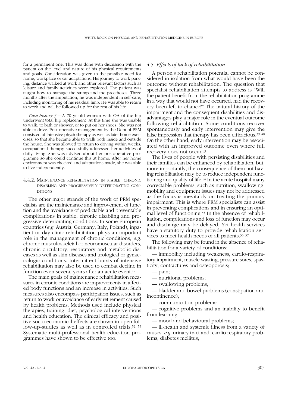for a permanent one. This was done with discussion with the patient on the level and nature of his physical requirements and goals. Consideration was given to the possible need for home, workplace or car adaptations. His journey to work parking, distance walked at work and other relevant factors such as leisure and family activities were explored. The patient was taught how to manage the stump and the prostheses. Three months after the amputation, he was independent in self-care, including monitoring of his residual limb. He was able to return to work and will be followed up for the rest of his life.

*Case history 3.*—A 70 yr old woman with OA of the hip underwent total hip replacement .At this time she was unable to walk, to bath or shower, or to put on her shoes. She was not able to drive. Post-operative management by the Dept of PRM consisted of intensive physiotherapy as well as later home exercises, so that she became able to walk both inside and outside the house. She was allowed to return to driving within weeks; occupational therapy successfully addressed her activities of daily living. She was advised about her postoperative programme so she could continue this at home. After her home environment was checked and adaptations made, she was able to live independently.

## 4.4.2. MAINTENANCE REHABILITATION IN STABLE, CHRONIC DISABLING AND PROGRESSIVELY DETERIORATING CON-DITIONS

The other major strands of the work of PRM specialists are the maintenance and improvement of function and the avoidance of predictable and preventable complications in stable, chronic disabling and progressive deteriorating conditions. In some European countries (*e.g.* Austria, Germany, Italy, Poland), inpatient or day-clinic rehabilitation plays an important role in the management of chronic conditions, *e.g.* chronic musculoskeletal or neuromuscular disorders, chronic circulatory, respiratory and metabolic diseases as well as skin diseases and urological or gynaecologic conditions. Intermittent bursts of intensive rehabilitation may also be used to combat decline in function even several years after an acute event.<sup>17</sup>

The main goals of maintenance rehabilitation measures in chronic conditions are improvements in affected body functions and an increase in activities. Such measures also encompass participation issues, such as return to work or avoidance of early retirement caused by health problems. Methods used include physical therapies, training, diet, psychological interventions and health education. The clinical efficacy and positive socio-economical effects are shown in open follow-up-studies as well as in controlled trials.<sup>52, 53</sup> Systematic multi-professional health education programmes have shown to be effective too.

## 4.5. *Effects of lack of rehabilitation*

A person's rehabilitation potential cannot be considered in isolation from what would have been the outcome without rehabilitation. The question that specialist rehabilitation attempts to address is "Will the patient benefit from the rehabilitation programme in a way that would not have occurred, had the recovery been left to chance?" The natural history of the impairment and the consequent disabilities and disadvantages play a major role in the eventual outcome following rehabilitation. Some conditions recover spontaneously and early intervention may give the false impression that therapy has been efficacious.39, 40 On the other hand, early intervention may be associated with an improved outcome even where full recovery does not occur.53

The lives of people with persisting disabilities and their families can be enhanced by rehabilitation, but, more importantly, the consequence of them not having rehabilitation may be to reduce independent functioning and quality of life.54 In the acute hospital many correctable problems, such as nutrition, swallowing, mobility and equipment issues may not be addressed as the focus is inevitably on treating the primary impairment. This is where PRM specialists can assist in preventing complications and in ensuring an optimal level of functioning.55 In the absence of rehabilitation, complications and loss of function may occur and discharge may be delayed. Yet health services have a statutory duty to provide rehabilitation services to meet health needs of all patients.56, 57

The following may be found in the absence of rehabilitation for a variety of conditions:

— immobility including weakness, cardio-respiratory impairment, muscle wasting, pressure sores, spasticity, contractures and osteoporosis;

- pain;
- nutritional problems;

— swallowing problems;

— bladder and bowel problems (constipation and incontinence);

— communication problems;

— cognitive problems and an inability to benefit from learning;

— mood and behavioural problems;

— ill-health and systemic illness from a variety of causes, *e.g.* urinary tract and, cardio respiratory problems, diabetes mellitus;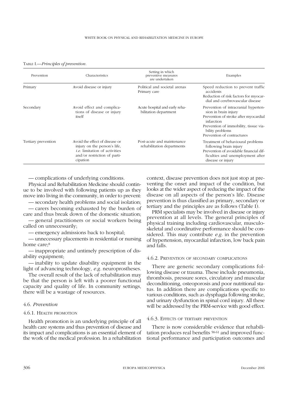TABLE I.—*Principles of prevention.*

| Prevention          | Characteristics                                                                                                                                    | Setting in which<br>preventive measures<br>are undertaken | Examples                                                                                                                                                                                                      |
|---------------------|----------------------------------------------------------------------------------------------------------------------------------------------------|-----------------------------------------------------------|---------------------------------------------------------------------------------------------------------------------------------------------------------------------------------------------------------------|
| Primary             | Avoid disease or injury                                                                                                                            | Political and societal arenas<br>Primary care             | Speed reduction to prevent traffic<br>accidents<br>Reduction of risk factors for myocar-<br>dial and cerebrovascular disease                                                                                  |
| Secondary           | Avoid effect and complica-<br>tions of disease or injury<br>itself                                                                                 | Acute hospital and early reha-<br>bilitation department   | Prevention of intracranial hyperten-<br>sion in brain injury<br>Prevention of stroke after myocardial<br>infarction<br>Prevention of immobility, tissue via-<br>bility problems<br>Prevention of contractures |
| Tertiary prevention | Avoid the effect of disease or<br>injury on the person's life,<br><i>i.e.</i> limitation of activities<br>and/or restriction of parti-<br>cipation | Post-acute and maintenance<br>rehabilitation departments  | Treatment of behavioural problems<br>following brain injury<br>Prevention of avoidable financial dif-<br>ficulties and unemployment after<br>disease or injury                                                |

— complications of underlying conditions.

Physical and Rehabilitation Medicine should continue to be involved with following patients up as they move into living in the community, in order to prevent:

— secondary health problems and social isolation; — carers becoming exhausted by the burden of care and thus break down of the domestic situation;

— general practitioners or social workers being called on unnecessarily;

— emergency admissions back to hospital;

— unnecessary placements in residential or nursing home care;<sup>8</sup>

— inappropriate and untimely prescription of disability equipment;

— inability to update disability equipment in the light of advancing technology, *e.g.* neuroprostheses.

The overall result of the lack of rehabilitation may be that the person is left with a poorer functional capacity and quality of life. In community settings, there will be a wastage of resources.

# 4.6. *Prevention*

#### 4.6.1. HEALTH PROMOTION

Health promotion is an underlying principle of all health care systems and thus prevention of disease and its impact and complications is an essential element of the work of the medical profession. In a rehabilitation context, disease prevention does not just stop at preventing the onset and impact of the condition, but looks at the wider aspect of reducing the impact of the disease on all aspects of the person's life. Disease prevention is thus classified as primary, secondary or tertiary and the principles are as follows (Table I).

PRM specialists may be involved in disease or injury prevention at all levels. The general principles of physical training including cardiovascular, musculoskeletal and coordinative performance should be considered. This may contribute *e.g.* in the prevention of hypertension, myocardial infarction, low back pain and falls.

#### 4.6.2. PREVENTION OF SECONDARY COMPLICATIONS

There are generic secondary complications following disease or trauma. These include pneumonia, thrombosis, pressure sores, circulatory and muscular deconditioning, osteoporosis and poor nutritional status. In addition there are complications specific to various conditions, such as dysphagia following stroke, and urinary dysfunction in spinal cord injury. All these will be addressed by the PRM-service with good effect.

#### 4.6.3. EFFECTS OF TERTIARY PREVENTION

There is now considerable evidence that rehabilitation produces real benefits 58-61 and improved functional performance and participation outcomes and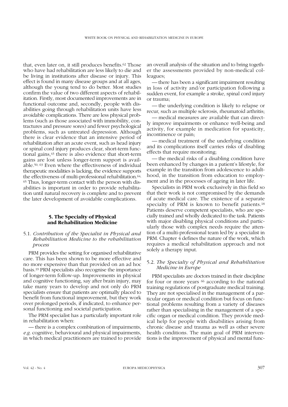that, even later on, it still produces benefits.62 Those who have had rehabilitation are less likely to die and be living in institutions after disease or injury. This effect is found in many disease groups and at all ages, although the young tend to do better. Most studies confirm the value of two different aspects of rehabilitation. Firstly, most documented improvements are in functional outcome and, secondly, people with disabilities going through rehabilitation units have less avoidable complications. There are less physical problems (such as those associated with immobility, contractures and pressure sores) and fewer psychological problems, such as untreated depression. Although there is clear evidence that an intensive period of rehabilitation after an acute event, such as head injury or spinal cord injury produces clear, short-term functional gains,43 there is also evidence that short-term gains are lost unless longer-term support is available.50, 63 Even where the effectiveness of individual therapeutic modalities is lacking, the evidence supports the effectiveness of multi-professional rehabilitation.<sup>64,</sup> <sup>65</sup> Thus, longer-term contact with the person with disabilities is important in order to provide rehabilitation until natural recovery is complete and to prevent the later development of avoidable complications.

## **5. The Specialty of Physical and Rehabilitation Medicine**

# 5.1. *Contribution of the Specialist in Physical and Rehabilitation Medicine to the rehabilitation process*

PRM provides the setting for organised rehabilitative care. This has been shown to be more effective and no more expensive than that provided on an ad hoc basis.19 PRM specialists also recognise the importance of longer-term follow-up. Improvements in physical and cognitive functioning, say after brain injury, may take many years to develop and not only do PRM specialists ensure that patients are optimally placed to benefit from functional improvement, but they work over prolonged periods, if indicated, to enhance personal functioning and societal participation.

The PRM specialist has a particularly important role in rehabilitation when:

— there is a complex combination of impairments, *e.g.* cognitive, behavioural and physical impairments, in which medical practitioners are trained to provide an overall analysis of the situation and to bring together the assessments provided by non-medical colleagues;

— there has been a significant impairment resulting in loss of activity and/or participation following a sudden event, for example a stroke, spinal cord injury or trauma;

— the underlying condition is likely to relapse or recur, such as multiple sclerosis, rheumatoid arthritis;

— medical measures are available that can directly improve impairments or enhance well-being and activity, for example in medication for spasticity, incontinence or pain;

— medical treatment of the underlying condition and its complications itself carries risks of disabling effects that require monitoring;

— the medical risks of a disabling condition have been enhanced by changes in a patient's lifestyle, for example in the transition from adolescence to adulthood, in the transition from education to employment and in the processes of ageing in later life.

Specialists in PRM work exclusively in this field so that their work is not compromised by the demands of acute medical care. The existence of a separate specialty of PRM is known to benefit patients.18 Patients deserve competent specialists, who are specially trained and wholly dedicated to the task. Patients with major disabling physical conditions and particularly those with complex needs require the attention of a multi-professional team led by a specialist in PRM. Chapter 4 defines the nature of the work, which requires a medical rehabilitation approach and not solely a therapy input.

# 5.2. *The Specialty of Physical and Rehabilitation Medicine in Europe*

PRM specialists are doctors trained in their discipline for four or more years <sup>66</sup> according to the national training regulations of postgraduate medical training. They are not specialised in the management of a particular organ or medical condition but focus on functional problems resulting from a variety of diseases rather than specialising in the management of a specific organ or medical condition. They provide medical help for people with disabilities arising from chronic disease and trauma as well as other severe health conditions. The main goal of PRM interventions is the improvement of physical and mental func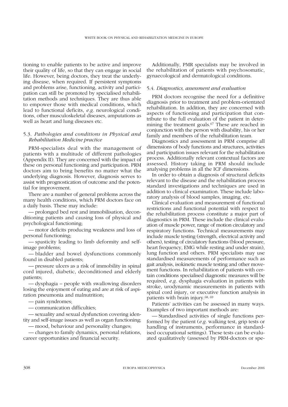tioning to enable patients to be active and improve their quality of life, so that they can engage in social life. However, being doctors, they treat the underlying disease, when required. If persistent symptoms and problems arise, functioning, activity and participation can still be promoted by specialised rehabilitation methods and techniques. They are thus able to empower those with medical conditions, which lead to functional deficits, *e.g.* neurological conditions, other musculoskeletal diseases, amputations as well as heart and lung diseases etc.

# 5.3. *Pathologies and conditions in Physical and Rehabilitation Medicine practice*

PRM-specialists deal with the management of patients with a multitude of different pathologies (Appendix II). They are concerned with the impact of these on personal functioning and participation. PRM doctors aim to bring benefits no matter what the underlying diagnosis. However, diagnosis serves to assist with prognostication of outcome and the potential for improvement.

There are a number of general problems across the many health conditions, which PRM doctors face on a daily basis. These may include:

— prolonged bed rest and immobilisation, deconditioning patients and causing loss of physical and psychological functioning;

— motor deficits producing weakness and loss of personal functioning;

— spasticity leading to limb deformity and selfimage problems;

— bladder and bowel dysfunctions commonly found in disabled patients;

— pressure ulcers as a risk of immobility in spinal cord injured, diabetic, deconditioned and elderly patients;

— dysphagia – people with swallowing disorders losing the enjoyment of eating and are at risk of aspiration pneumonia and malnutrition;

— pain syndromes;

— communication difficulties;

— sexuality and sexual dysfunction covering identity and self-image issues as well as organ functioning;

— mood, behaviour and personality changes;

— changes to family dynamics, personal relations, career opportunities and financial security.

Additionally, PMR specialists may be involved in the rehabilitation of patients with psychosomatic, gynaecological and dermatological conditions.

## 5.4. *Diagnostics, assessment and evaluation*

PRM doctors recognise the need for a definitive diagnosis prior to treatment and problem-orientated rehabilitation. In addition, they are concerned with aspects of functioning and participation that contribute to the full evaluation of the patient in determining the treatment goals.<sup>67</sup> These are reached in conjunction with the person with disability, his or her family and members of the rehabilitation team.

Diagnostics and assessment in PRM comprise all dimensions of body functions and structures, activities and participation issues relevant for the rehabilitation process. Additionally relevant contextual factors are assessed. History taking in PRM should include analysing problems in all the ICF dimensions.

In order to obtain a diagnosis of structural deficits relevant to the disease and the rehabilitation process standard investigations and techniques are used in addition to clinical examination. These include laboratory analysis of blood samples, imaging, etc.

Clinical evaluation and measurement of functional restrictions and functional potential with respect to the rehabilitation process constitute a major part of diagnostics in PRM. These include the clinical evaluation of muscle power, range of motion circulatory and respiratory functions. Technical measurements may include muscle testing (strength, electrical activity and others), testing of circulatory functions (blood pressure, heart frequency, EMG while resting and under strain), lung function and others. PRM specialists may use standardised measurements of performance such as gait analysis, isokinetic muscle testing and other movement functions. In rehabilitation of patients with certain conditions specialised diagnostic measures will be required, *e.g.* dysphagia evaluation in patients with stroke, urodynamic measurements in patients with spinal cord injury, or executive function analysis in patients with brain injury.68, 69

Patients' activities can be assessed in many ways. Examples of two important methods are:

— Standardised activities of single functions performed by the patient (*e.g.* walking test, grip tests or handling of instruments, performance in standardised occupational settings). These tests can be evaluated qualitatively (assessed by PRM-doctors or spe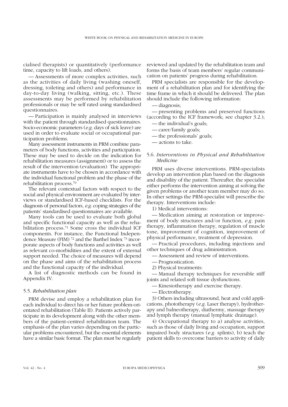cialised therapists) or quantitatively (performance time, capacity to lift loads, and others).

— Assessments of more complex activities, such as the activities of daily living (washing oneself, dressing, toileting and others) and performance in day-to-day living (walking, sitting, etc.). These assessments may be performed by rehabilitation professionals or may be self rated using standardised questionnaires.

— Participation is mainly analysed in interviews with the patient through standardised questionnaires. Socio-economic parameters (*e.g.* days of sick leave) are used in order to evaluate social or occupational participation problems.

Many assessment instruments in PRM combine parameters of body functions, activities and participation. These may be used to decide on the indication for rehabilitation measures (assignment) or to assess the result of the intervention (evaluation). The appropriate instruments have to be chosen in accordance with the individual functional problem and the phase of the rehabilitation process.70

The relevant contextual factors with respect to the social and physical environment are evaluated by interviews or standardised ICF-based checklists. For the diagnosis of personal factors, *e.g.* coping strategies of the patients' standardised questionnaires are available.

Many tools can be used to evaluate both global and specific functional capacity as well as the rehabilitation process.71 Some cross the individual ICF components. For instance, the Functional Independence Measure (FIM) 72 and the Barthel Index 73 incorporate aspects of body functions and activities as well as relevant co-morbidities and the extent of external support needed. The choice of measures will depend on the phase and aims of the rehabilitation process and the functional capacity of the individual.

A list of diagnostic methods can be found in Appendix IV.

## 5.5. *Rehabilitation plan*

PRM devise and employ a rehabilitation plan for each individual to direct his or her future problem-orientated rehabilitation (Table II). Patients actively participate in its development along with the other members of the patient-centred rehabilitation team. The emphasis of the plan varies depending on the particular problems encountered, but the essential elements have a similar basic format. The plan must be regularly reviewed and updated by the rehabilitation team and forms the basis of team members' regular communication on patients' progress during rehabilitation.

PRM specialists are responsible for the development of a rehabilitation plan and for identifying the time frame in which it should be delivered. The plan should include the following information:

— diagnosis;

— presenting problems and preserved functions (according to the ICF framework; see chapter 3.2.); — the individual's goals;

- carer/family goals;
- the professionals' goals;
- actions to take.

# 5.6. *Interventions in Physical and Rehabilitation Medicine*

PRM uses diverse interventions. PRM-specialists develop an intervention plan based on the diagnosis and disability of the patient. Thereafter, the specialist either performs the intervention aiming at solving the given problems or another team member may do so. In other settings the PRM-specialist will prescribe the therapy. Interventions include:

1) Medical interventions:

— Medication aiming at restoration or improvement of body structures and/or function, *e.g.* pain therapy, inflammation therapy, regulation of muscle tone, improvement of cognition, improvement of physical performance, treatment of depression.

— Practical procedures, including injections and other techniques of drug administration.

- Assessment and review of interventions.
- Prognostication.
- 2) Physical treatments:

— Manual therapy techniques for reversible stiff joints and related soft tissue dysfunctions.

- Kinesiotherapy and exercise therapy.
- Electrotherapy.

3) Others including ultrasound, heat and cold applications, phototherapy (*e.g.* Laser therapy), hydrotherapy and balneotherapy, diathermy, massage therapy and lymph therapy (manual lymphatic drainage).

4) Occupational therapy to a) analyse activities, such as those of daily living and occupation, support impaired body structures (*e.g.* splints), b) teach the patient skills to overcome barriers to activity of daily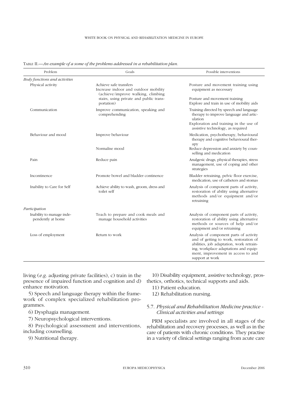| Problem                                        | Goals                                                                                                | Possible interventions                                                                                                                                                                                                          |
|------------------------------------------------|------------------------------------------------------------------------------------------------------|---------------------------------------------------------------------------------------------------------------------------------------------------------------------------------------------------------------------------------|
| Body functions and activities                  |                                                                                                      |                                                                                                                                                                                                                                 |
| Physical activity                              | Achieve safe transfers<br>Increase indoor and outdoor mobility<br>(achieve/improve walking, climbing | Posture and movement training using<br>equipment as necessary                                                                                                                                                                   |
|                                                | stairs, using private and public trans-<br>portation)                                                | Posture and movement training<br>Explore and train in use of mobility aids                                                                                                                                                      |
| Communication                                  | Improve communication, speaking and<br>comprehending                                                 | Training directed by speech and language<br>therapy to improve language and artic-<br>ulation                                                                                                                                   |
|                                                |                                                                                                      | Exploration and training in the use of<br>assistive technology, as required                                                                                                                                                     |
| Behaviour and mood                             | Improve behaviour                                                                                    | Medication, psychotherapy, behavioural<br>therapy and cognitive behavioural ther-<br>apy                                                                                                                                        |
|                                                | Normalise mood                                                                                       | Reduce depression and anxiety by coun-<br>selling and medication                                                                                                                                                                |
| Pain                                           | Reduce pain                                                                                          | Analgesic drugs, physical therapies, stress<br>management, use of coping and other<br>strategies                                                                                                                                |
| Incontinence                                   | Promote bowel and bladder continence                                                                 | Bladder retraining, pelvic floor exercise,<br>medication, use of catheters and stomas                                                                                                                                           |
| Inability to Care for Self                     | Achieve ability to wash, groom, dress and<br>toilet self                                             | Analysis of component parts of activity,<br>restoration of ability using alternative<br>methods and/or equipment and/or<br>retraining                                                                                           |
| Participation                                  |                                                                                                      |                                                                                                                                                                                                                                 |
| Inability to manage inde-<br>pendently at home | Teach to prepare and cook meals and<br>manage household activities                                   | Analysis of component parts of activity,<br>restoration of ability using alternative<br>methods or sources of help and/or<br>equipment and/or retraining                                                                        |
| Loss of employment                             | Return to work                                                                                       | Analysis of component parts of activity<br>and of getting to work, restoration of<br>abilities, job adaptation, work retrain-<br>ing, workplace adaptations and equip-<br>ment, improvement in access to and<br>support at work |

TABLE II.—*An example of a some of the problems addressed in a rehabilitation plan.*

living (*e.g.* adjusting private facilities), c) train in the presence of impaired function and cognition and d) enhance motivation.

5) Speech and language therapy within the framework of complex specialized rehabilitation programmes.

6) Dysphagia management.

7) Neuropsychological interventions.

8) Psychological assessment and interventions, including counselling.

9) Nutritional therapy.

10) Disability equipment, assistive technology, prosthetics, orthotics, technical supports and aids.

11) Patient education.

12) Rehabilitation nursing.

# 5.7. *Physical and Rehabilitation Medicine practice - Clinical activities and settings*

PRM specialists are involved in all stages of the rehabilitation and recovery processes, as well as in the care of patients with chronic conditions. They practise in a variety of clinical settings ranging from acute care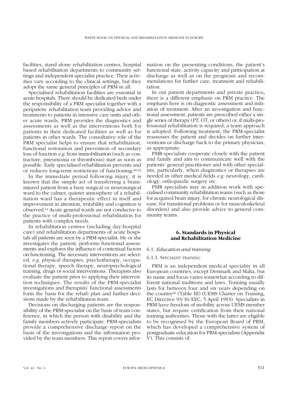facilities, stand alone rehabilitation centres, hospital based rehabilitation departments to community settings and independent specialist practice. Their activities vary according to the clinical settings, but they adopt the same general principles of PRM in all.

Specialised rehabilitation facilities are essential in acute hospitals. There should be dedicated beds under the responsibility of a PRM specialist together with a peripatetic rehabilitation team providing advice and treatments to patients in intensive care units and other acute wards. PRM provides the diagnostics and assessments as well as the interventions both for patients in their dedicated facilities as well as for patients in other wards. The consultative role of the PRM specialist helps to ensure that rehabilitation, functional restoration and prevention of secondary loss of function *e.g.* from immobilisation (such as contracture, pneumonia or thrombosis) start as soon as possible. Early specialised rehabilitation prevents and or reduces long-term restrictions of functioning.60-62

In the immediate period following injury, it is known that the simple act of transferring a braininjured patient from a busy surgical or neurosurgical ward to the calmer, quieter atmosphere of a rehabilitation ward has a therapeutic effect in itself and improvement in attention, irritability and cognition is observed.54 Acute general wards are not conducive to the practice of multi-professional rehabilitation for patients with complex needs.

In rehabilitation centres (including day-hospital care) and rehabilitation departments of acute hospitals all patients are seen by a PRM-specialist. He or she investigates the patient, performs functional assessments and explores the influence of contextual factors on functioning. The necessary interventions are selected, *e.g.* physical therapies, psychotherapy, occupational therapy, speech therapy, neuropsychological training, drugs or social interventions. Therapists also evaluate the patient prior to applying their intervention techniques. The results of the PRM-specialist investigations and therapists' functional assessments form the basis for the rehab plan and further decisions made by the rehabilitation team.

Decisions on discharging patients are the responsibility of the PRM-specialist on the basis of team conference, in which the person with disability and the family members actively participate. PRM-specialists provide a comprehensive discharge report on the basis of the investigations and the information provided by the team members. This report covers information on the presenting conditions, the patient's functional state, activity capacity and participation at discharge as well as on the prognosis and recommendations for further care, treatment and rehabilitation.

In out patient departments and private practice**,** there is a different emphasis on PRM practice. The emphasis here is on diagnostic assessment and initiation of treatment. After an investigation and functional assessment, patients are prescribed either a single series of therapy (PT, OT, or others) or, if multi-professional rehabilitation is required, a team approach is adopted. Following treatment, the PRM-specialist reassesses the patient and decides on further interventions or discharge back to the primary physician, as appropriate.

PMR-specialists cooperate closely with the patient and family and aim to communicate well with the patients' general practitioner and with other specialists, particularly, when diagnostics or therapies are needed in other medical fields *e.g.* neurology, cardiology, orthopaedic surgery etc.

PMR specialists may in addition work with specialised community rehabilitation teams (such as those for acquired brain injury, for chronic neurological disease, for transitional problems or for musculoskeletal disorders) and also provide advice to general community teams.

## **6. Standards in Physical and Rehabilitation Medicine**

## 6.1. *Education and training*

## 6.1.1. SPECIALIST TRAINING

PRM is an independent medical speciality in all European countries, except Denmark and Malta, but its name and focus varies somewhat according to different national traditions and laws. Training usually lasts for between four and six years depending on the country66 (Table III) (UEMS Charter on Training, EC Directive 93/16/EEC, 5 April 1993). Specialists in PRM have freedom of mobility across UEMS member states, but require certification from their national training authorities. Those with the latter are eligible to be recognised by the European Board of PRM, which has developed a comprehensive system of postgraduate education for PRM-specialists (Appendix V). This consists of: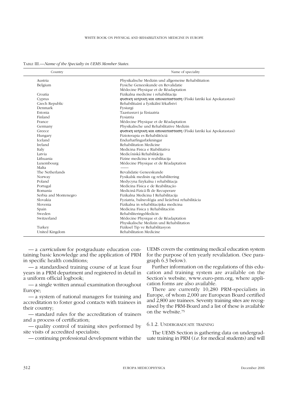| Country               | Name of speciality                                                |
|-----------------------|-------------------------------------------------------------------|
| Austria               | Physikalische Medizin und allgemeine Rehabilitation               |
| Belgium               | Fysiche Geneeskunde en Revalidatie                                |
|                       | Médecine Physique et de Réadaptation                              |
| Croatia               | Fizikalna medicine i rehabilitacija                               |
| Cyprus                | φυσικη ιατρικη και αποκατασταση (Fisiki Iatriki kai Apokatastasi) |
| Czech Republic        | Rehabilitaãní a fyzikální lékafiství                              |
| <b>Denmark</b>        | Fysiurgi                                                          |
| Estonia               | Taastusravi ja füsiaatria                                         |
| Finland               | Fysiatria                                                         |
| France                | Médecine Physique et de Réadaptation                              |
| Germany               | Physikalische und Rehabilitative Medizin                          |
| Greece                | φυσικη ιατρικη και αποκατασταση (Fisiki Iatriki kai Apokatastasi) |
| Hungary               | Fizioterapia es Rehabilitóciá                                     |
| <b>Iceland</b>        | Endurhæfingarlækningar                                            |
| Ireland               | Rehabilitation Medicine                                           |
| Italy                 | Medicina Fisica e Riabilitativa                                   |
| Latvia                | Medicīniskā Rehabilitācija                                        |
| Lithuania             | Fizine medicina ir reabilitacija                                  |
| Luxembourg            | Médecine Physique et de Réadaptation                              |
| Malta                 |                                                                   |
| The Netherlands       | Revalidatie Geneeskunde                                           |
| Norway                | Fysikalsk medisin og rehabilitering                               |
| Poland                | Medycyna fizykalna i rehabilitacja                                |
| Portugal              | Medicina Física e de Reabilitação                                 |
| Romania               | Medicină Fizică fli de Recuperare                                 |
| Serbia and Montenegro | Fizikalna Medicina I Rehabilitacija                               |
| Slovakia              | Fyziatria, balneológia and lieãebná rehabilitácia                 |
| Slovenia              | Fizikalna in rehabilitacijska medicina                            |
| Spain                 | Medicina Fisica y Rehabilitación                                  |
| Sweden                | RehabiliteringsMedicin                                            |
| Switzerland           | Médecine Physique et de Réadaptation                              |
|                       | Physikalische Medizin und Rehabilitation                          |
| Turkey                | Fiziksel Tip ve Rehabilitasyon                                    |
| United Kingdom        | Rehabilitation Medicine                                           |

TABLE III.—*Name of the Specialty in UEMS Member States.*

— a *curriculum* for postgraduate education containing basic knowledge and the application of PRM in specific health conditions;

— a standardised training course of at least four years in a PRM department and registered in detail in a uniform official logbook;

— a single written annual examination throughout Europe;

— a system of national managers for training and accreditation to foster good contacts with trainees in their country;

— standard rules for the accreditation of trainers and a process of certification;

— quality control of training sites performed by site visits of accredited specialists;

— continuing professional development within the

UEMS covers the continuing medical education system for the purpose of ten yearly revalidation. (See paragraph 6.3 below).

Further information on the regulations of this education and training system are available on the Section's website, www.euro-prm.org, where application forms are also available.

There are currently 10,280 PRM-specialists in Europe, of whom 2,000 are European Board certified and 2,800 are trainees. Seventy training sites are recognised by the PRM-Board and a list of these is available on the website.75

## 6.1.2. UNDERGRADUATE TRAINING

The UEMS Section is gathering data on undergraduate training in PRM (*i.e.* for medical students) and will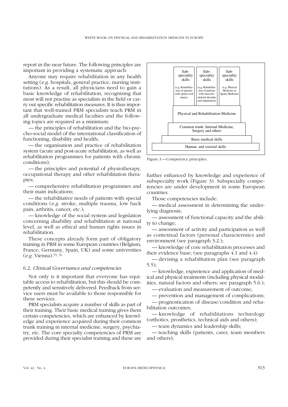report in the near future. The following principles are important in providing a systematic approach:

Anyone may require rehabilitation in any health setting (*e.g.* hospitals, general practice, nursing institutions). As a result, all physicians need to gain a basic knowledge of rehabilitation, recognising that most will not practise as specialists in the field or carry out specific rehabilitation measures. It is thus important that well-trained PRM specialists teach PRM in all undergraduate medical faculties and the following topics are required as a minimum:

— the principles of rehabilitation and the bio-psycho-social model of the international classification of functioning, disability and health;

— the organisation and practice of rehabilitation system (acute and post-acute rehabilitation, as well as rehabilitation programmes for patients with chronic conditions);

— the principles and potential of physiotherapy, occupational therapy and other rehabilitation therapies;

— comprehensive rehabilitation programmes and their main indications;

— the rehabilitative needs of patients with special conditions (*e.g.* stroke, multiple trauma, low back pain, arthritis, cancer, etc.);

— knowledge of the social system and legislation concerning disability and rehabilitation at national level, as well as ethical and human rights issues in rehabilitation.

These concepts already form part of obligatory training in PRM in some European countries (Belgium, France, Germany, Spain, UK) and some universities (*e.g.* Vienna).75, 76

#### 6.2. *Clinical Governance and competencies*

Not only is it important that everyone has equitable access to rehabilitation, but this should be competently and sensitively delivered. Feedback from service users must be available to those responsible for these services.

PRM specialists acquire a number of skills as part of their training. Their basic medical training gives them certain competencies, which are enhanced by knowledge and experience acquired during their common trunk training in internal medicine, surgery, psychiatry, etc. The core specialty competencies of PRM are provided during their specialist training and these are



Figure 3.—Competency principles.

further enhanced by knowledge and experience of subspecialty work (Figure 3). Subspecialty competencies are under development in some European countries.

Those competencies include:

— medical assessment in determining the underlying diagnosis;

— assessment of functional capacity and the ability to change;

— assessment of activity and participation as well as contextual factors (personal characteristics and environment (see paragraph 3.2.);

— knowledge of core rehabilitation processes and their evidence base; (see paragraphs 4.1 and 4.4)

— devising a rehabilitation plan (see paragraph 5.5);

— knowledge, experience and application of medical and physical treatments (including physical modalities, natural factors and others; see paragraph 5.6.);

— evaluation and measurement of outcome;

— prevention and management of complications; — prognostication of disease/condition and rehabilitation outcomes;

— knowledge of rehabilitations technology (orthotics, prosthetics, technical aids and others);

— team dynamics and leadership skills;

— teaching skills (patients, carer, team members and others);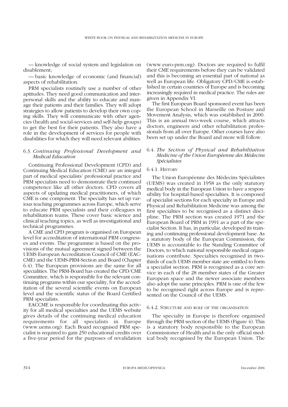— knowledge of social system and legislation on disablement;

— basic knowledge of economic (and financial) aspects of rehabilitation.

PRM specialists routinely use a number of other aptitudes. They need good communication and interpersonal skills and the ability to educate and manage their patients and their families. They will adopt strategies to allow patients to develop their own coping skills. They will communicate with other agencies (health and social-services and self-help groups) to get the best for their patients. They also have a role in the development of services for people with disabilities for which they will need relevant abilities.

# 6.3. *Continuing Professional Development and Medical Education*

Continuing Professional Development (CPD) and Continuing Medical Education (CME) are an integral part of medical specialists' professional practice and PRM specialists need to demonstrate their continued competence like all other doctors. CPD covers all aspects of updating medical practitioners, of which CME is one component. The specialty has set up various teaching programmes across Europe, which serve to educate PRM specialists and their colleagues in rehabilitation teams. These cover basic science and clinical teaching topics, as well as investigational and technical programmes.

A CME and CPD program is organised on European level for accreditation of international PRM congresses and events. The programme is based on the provisions of the mutual agreement signed between the UEMS European Accreditation Council of CME (EAC-CME) and the UEMS-PRM-Section and Board (Chapter 6.4). The European provisions are the same for all specialities. The PRM-Board has created the CPD/CME Committee, which is responsible for the relevant continuing programs within our speciality, for the accreditation of the several scientific events on European level and the scientific status of the Board Certified PRM specialists.

EACCME is responsible for coordinating this activity for all medical specialties and the UEMS website gives details of the continuing medical education requirements for all specialists in Europe (www.uems.org). Each Board recognised PRM specialist is required to gain 250 educational credits over a five-year period for the purposes of revalidation (www.euro-prm.org). Doctors are required to fulfil their CME requirements before they can be validated and this is becoming an essential part of national as well as European life. Obligatory CPD/CME is established in certain countries of Europe and is becoming increasingly required in medical practice. The rules are given in Appendix VI.

The first European Board sponsored event has been the European School in Marseille on Posture and Movement Analysis, which was established in 2000. This is an annual two-week course, which attracts doctors, engineers and other rehabilitation professionals from all over Europe. Other courses have also been set up under the Board and more will follow.

# 6.4. *The Section of Physical and Rehabilitation Medicine of the Union Européenne des Médecins Spécialistes*

## 6.4.1. HISTORY

The Union Européenne des Médecins Spécialistes (UEMS) was created in 1958 as the only statutory medical body in the European Union to have a responsibility for hospital-based specialties. It is composed of specialist sections for each specialty in Europe and Physical and Rehabilitation Medicine was among the first specialties to be recognised as a distinct discipline. The PRM section was created 1971 and the European Board of PRM in 1991 as a part of the specialist Section. It has, in particular, developed its training and continuing professional development base. As a statutory body of the European Commission, the UEMS is accountable to the Standing Committee of Doctors, to which national responsible medical organisations contribute. Specialties recognised in twothirds of each UEMS member state are entitled to form a specialist section. PRM is recognised as a core service in each of the 28 member states of the Greater European space and the newer associate members also adopt the same principles. PRM is one of the few to be recognised right across Europe and is represented on the Council of the UEMS.

## 6.4.2. STRUCTURE AND ROLE OF THE ORGANISATION

The specialty in Europe is therefore organised through the PRM section of the UEMS (Figure 4). This is a statutory body responsible to the European Commissioner of Health and is the only official medical body recognised by the European Union. The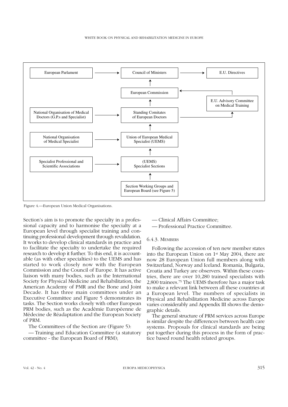

Figure 4.—European Union Medical Organisations.

Section's aim is to promote the specialty in a professional capacity and to harmonise the specialty at a European level through specialist training and continuing professional development through revalidation. It works to develop clinical standards in practice and to facilitate the specialty to undertake the required research to develop it further. To this end, it is accountable (as with other specialties) to the UEMS and has started to work closely now with the European Commission and the Council of Europe. It has active liaison with many bodies, such as the International Society for Physical Medicine and Rehabilitation, the American Academy of PMR and the Bone and Joint Decade. It has three main committees under an Executive Committee and Figure 5 demonstrates its tasks. The Section works closely with other European PRM bodies, such as the Académie Européenne de Médecine de Réadaptation and the European Society of PRM.

The Committees of the Section are (Figure 5):

— Training and Education Committee (a statutory committee - the European Board of PRM);

— Clinical Affairs Committee;

— Professional Practice Committee.

#### 6.4.3. MEMBERS

Following the accession of ten new member states into the European Union on 1st May 2004, there are now 28 European Union full members along with Switzerland, Norway and Iceland. Romania, Bulgaria, Croatia and Turkey are observers. Within these countries, there are over 10,280 trained specialists with 2,800 trainees.75 The UEMS therefore has a major task to make a relevant link between all these countries at a European level. The numbers of specialists in Physical and Rehabilitation Medicine across Europe varies considerably and Appendix III shows the demographic details.

The general structure of PRM services across Europe is similar despite the differences between health care systems. Proposals for clinical standards are being put together during this process in the form of practice based round health related groups.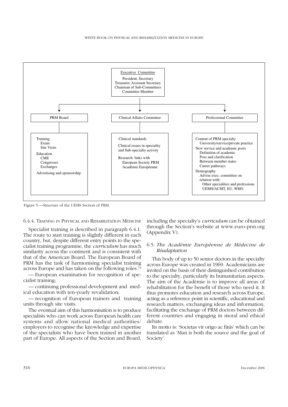#### WHITE BOOK ON PHYSICAL AND REHABILITATION MEDICINE IN EUROPE



Figure 5.—Structure of the UEMS Section of PRM.

## 6.4.4. TRAINING IN PHYSICAL AND REHABILITATION MEDICINE

Specialist training is described in paragraph 6.4.1. The route to start training is slightly different in each country, but, despite different entry points to the specialist training programme, the *curriculum* has much similarity across the continent and is consistent with that of the American Board. The European Board of PRM has the task of harmonising specialist training across Europe and has taken on the following roles.73

— European examination for recognition of specialist training;

— continuing professional development and medical education with ten-yearly revalidation;

— recognition of European trainers and training units through site visits.

The eventual aim of this harmonisation is to produce specialists who can work across European health care systems and allow national medical authorities/ employers to recognise the knowledge and expertise of the specialists who have been trained in another part of Europe. All aspects of the Section and Board, including the specialty's *curriculum* can be obtained through the Section's website at www.euro-prm.org (Appendix V).

## 6.5. *The Académie Européenne de Médecine de Réadaptation*

This body of up to 50 senior doctors in the specialty across Europe was created in 1969. Academicians are invited on the basis of their distinguished contribution to the specialty, particularly its humanitarian aspects. The aim of the Académie is to improve all areas of rehabilitation for the benefit of those who need it. It thus promotes education and research across Europe, acting as a reference point in scientific, educational and research matters, exchanging ideas and information, facilitating the exchange of PRM doctors between different countries and engaging in moral and ethical debate.

Its motto is: 'Societas vir origo ac finis' which can be translated as 'Man is both the source and the goal of Society'.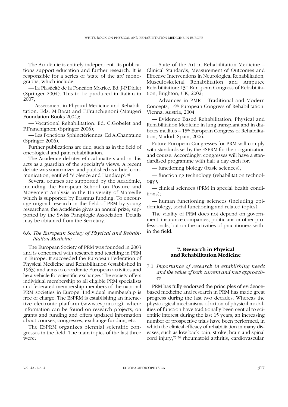The Académie is entirely independent. Its publications support education and further research. It is responsible for a series of 'state of the art' monographs, which include:

— La Plasticité de la Fonction Motrice. Ed. J-P.Didier (Springer 2004). This to be produced in Italian in 2007;

— Assessment in Physical Medicine and Rehabilitation. Eds. M.Barat and F.Franchignoni (Maugeri Foundation Books 2004);

— Vocational Rehabilitation. Ed. C.Gobelet and F.Franchignoni (Springer 2006);

— Les Fonctions Sphinctériennes. Ed A.Chantraine (Springer 2006).

Further publications are due, such as in the field of oncological and pain rehabilitation.

The Academie debates ethical matters and in this acts as a guardian of the specialty's views. A recent debate was summarized and published as a brief communication, entitled 'Violence and Handicap'.76

Several courses are supported by the Académie, including the European School on Posture and Movement Analysis in the University of Marseille which is supported by Erasmus funding. To encourage original research in the field of PRM by young researchers, the Académie gives an annual prize, supported by the Swiss Paraplegic Association. Details may be obtained from the Secretary.

# 6.6. *The European Society of Physical and Rehabilitation Medicine*

The European Society of PRM was founded in 2003 and is concerned with research and teaching in PRM in Europe. It succeeded the European Federation of Physical Medicine and Rehabilitation (established in 1963) and aims to coordinate European activities and be a vehicle for scientific exchange. The society offers individual membership to all eligible PRM specialists and federated membership members of the national PRM societies in Europe. Individual membership is free of charge. The ESPRM is establishing an interactive electronic platform (www.esprm.org), where information can be found on research projects, on grants and funding and offers updated information about courses, congresses, exchange funding, etc.

The ESPRM organizes biennial scientific congresses in the field. The main topics of the last three were:

— State of the Art in Rehabilitation Medicine – Clinical Standards, Measurement of Outcomes and Effective Interventions in Neurological Rehabilitation, Musculoskeletal Rehabilitation and Amputee Rehabilitation: 13th European Congress of Rehabilitation, Brighton, UK, 2002;

— Advances in PMR – Traditional and Modern Concepts, 14th European Congress of Rehabilitation, Vienna, Austria, 2004;

— Evidence Based Rehabilitation, Physical and Rehabilitation Medicine in lung transplant and in diabetes mellitus – 15th European Congress of Rehabilitation, Madrid, Spain, 2006.

Future European Congresses for PRM will comply with standards set by the ESPRM for their organization and course. Accordingly, congresses will have a standardised programme with half a day each for:

— functioning biology (basic sciences);

— functioning technology (rehabilitation technology);

— clinical sciences (PRM in special health conditions);

— human functioning sciences (including epidemiology, social functioning and related topics).

The vitality of PRM does not depend on government, insurance companies, politicians or other professionals, but on the activities of practitioners within the field.

# **7. Research in Physical and Rehabilitation Medicine**

# 7.1. *Importance of research in establishing needs and the value of both current and new approaches*

PRM has fully endorsed the principles of evidencebased medicine and research in PRM has made great progress during the last two decades. Whereas the physiological mechanisms of action of physical modalities of function have traditionally been central to scientific interest during the last 15 years, an increasing number of prospective trials have been performed, in which the clinical efficacy of rehabilitation in many diseases, such as low back pain, stroke, brain and spinal cord injury,77-79 rheumatoid arthritis, cardiovascular,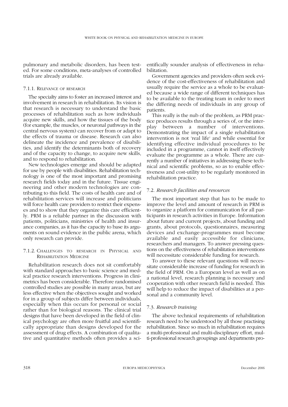pulmonary and metabolic disorders, has been tested. For some conditions, meta-analyses of controlled trials are already available.

## 7.1.1. RELEVANCE OF RESEARCH

The specialty aims to foster an increased interest and involvement in research in rehabilitation. Its vision is that research is necessary to understand the basic processes of rehabilitation such as how individuals acquire new skills, and how the tissues of the body (for example, the muscles, or neuronal pathways in the central nervous system) can recover from or adapt to the effects of trauma or disease. Research can also delineate the incidence and prevalence of disabilities, and identify the determinants both of recovery and of the capacity to change, to acquire new skills, and to respond to rehabilitation.

New technologies emerge and should be adapted for use by people with disabilities. Rehabilitation technology is one of the most important and promising research fields today and in the future. Tissue engineering and other modern technologies are contributing to this field. The costs of health care and of rehabilitation services will increase and politicians will force health care providers to restrict their expenses and to show that they organize this care efficiently. PRM is a reliable partner in the discussion with patients, politicians, ministries of health and insurance companies, as it has the capacity to base its arguments on sound evidence in the public arena, which only research can provide.

# 7.1.2. CHALLENGES TO RESEARCH IN PHYSICAL AND REHABILITATION MEDICINE

Rehabilitation research does not sit comfortably with standard approaches to basic science and medical practice research interventions. Progress in clinimetrics has been considerable. Therefore randomised controlled studies are possible in many areas, but are less effective when the objectives sought and worked for in a group of subjects differ between individuals, especially when this occurs for personal or social rather than for biological reasons. The clinical trial designs that have been developed in the field of clinical psychology are often more fruitful and scientifically appropriate than designs developed for the assessment of drug effects. A combination of qualitative and quantitative methods often provides a scientifically sounder analysis of effectiveness in rehabilitation.

Government agencies and providers often seek evidence of the cost-effectiveness of rehabilitation and usually require the service as a whole to be evaluated because a wide range of different techniques has to be available to the treating team in order to meet the differing needs of individuals in any group of patients.

This really is the nub of the problem, as PRM practice produces results through a series of, or the interplay between a number of interventions. Demonstrating the impact of a single rehabilitation intervention is not 'real life' and while essential for identifying effective individual procedures to be included in a programme, cannot in itself effectively evaluate the programme as a whole. There are currently a number of initiatives in addressing these technical and scientific problems, so as to enable effectiveness and cost-utility to be regularly monitored in rehabilitation practice.

## 7.2. *Research facilities and resources*

The most important step that has to be made to improve the level and amount of research in PRM is to organize a platform for communication for all participants in research activities in Europe. Information about future and current projects, about funding and grants, about protocols, questionnaires, measuring devices and exchange-programmes must become available and easily accessible for clinicians, researchers and managers. To answer pressing questions on the effectiveness of rehabilitation interventions will necessitate considerable funding for research.

To answer to these relevant questions will necessitate considerable increase of funding for research in the field of PRM. On a European level as well as on a national level, research planning is necessary and cooperation with other research field is needed. This will help to reduce the impact of disabilities at a personal and a community level.

#### 7.3. *Research training*

The above technical requirements of rehabilitation research need to be understood by all those practising rehabilitation. Since so much in rehabilitation requires a multi-professional and multi-disciplinary effort, multi-professional research groupings and departments pro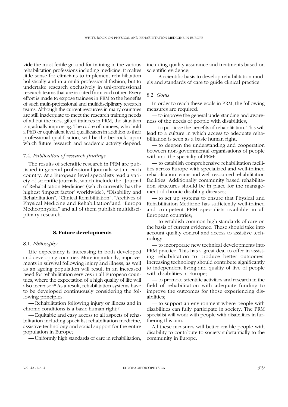vide the most fertile ground for training in the various rehabilitation professions including medicine. It makes little sense for clinicians to implement rehabilitation holistically and in a multi-professional fashion, but to undertake research exclusively in uni-professional research teams that are isolated from each other. Every effort is made to expose trainees in PRM to the benefits of such multi-professional and multidisciplinary research teams. Although the current resources in many countries are still inadequate to meet the research training needs of all but the most gifted trainees in PRM, the situation is gradually improving. The cadre of trainees, who hold a PhD or equivalent level qualification in addition to their professional qualification, will be the bedrock, upon which future research and academic activity depend.

## 7.4. *Publication of research findings*

The results of scientific research in PRM are published in general professional journals within each country. At a European level specialists read a variety of scientific journals, which include the "Journal of Rehabilitation Medicine" (which currently has the highest 'impact factor' worldwide), "Disability and Rehabilitation", "Clinical Rehabilitation", "Archives of Physical Medicine and Rehabilitation"and "Europa Medicophysica" and all of them publish multidisciplinary research.

## **8. Future developments**

#### 8.1. *Philosophy*

Life expectancy is increasing in both developed and developing countries. More importantly, improvements in survival following injury and illness, as well as an ageing population will result in an increased need for rehabilitation services in all European countries, where the expectation of a high quality of life will also increase.80 As a result, rehabilitation systems have to be developed continuously considering the following principles:

— Rehabilitation following injury or illness and in chronic conditions is a basic human right;<sup>81</sup>

— Equitable and easy access to all aspects of rehabilitation including specialist rehabilitation medicine, assistive technology and social support for the entire population in Europe;

— Uniformly high standards of care in rehabilitation,

including quality assurance and treatments based on scientific evidence;

— A scientific basis to develop rehabilitation models and standards of care to guide clinical practice.

## 8.2. *Goals*

In order to reach these goals in PRM, the following measures are required:

— to improve the general understanding and awareness of the needs of people with disabilities;

— to publicise the benefits of rehabilitation. This will lead to a culture in which access to adequate rehabilitation is seen as a basic human right;

— to deepen the understanding and cooperation between non-governmental organisations of people with and the specialty of PRM;

— to establish comprehensive rehabilitation facilities across Europe with specialized and well-trained rehabilitation teams and well resourced rehabilitation facilities. Additionally community based rehabilitation structures should be in place for the management of chronic disabling diseases;

— to set up systems to ensure that Physical and Rehabilitation Medicine has sufficiently well-trained and competent PRM specialists available in all European countries;

— to establish common high standards of care on the basis of current evidence. These should take into account quality control and access to assistive technology;

— to incorporate new technical developments into PRM practice. This has a great deal to offer in assisting rehabilitation to produce better outcomes. Increasing technology should contribute significantly to independent living and quality of live of people with disabilities in Europe;

— to promote scientific activities and research in the field of rehabilitation with adequate funding to improve the outcomes for those experiencing disabilities;

— to support an environment where people with disabilities can fully participate in society. The PRM specialist will work with people with disabilities in furthering this aim.

All these measures will better enable people with disability to contribute to society substantially to the community in Europe.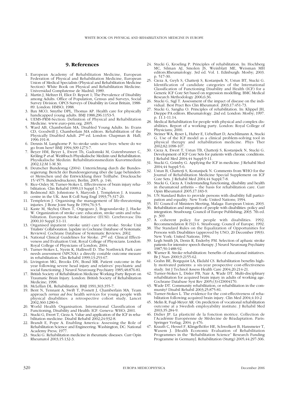#### **9. References**

- 1. European Academy of Rehabilitation Medicine, European Federation of Physical and Rehabilitation Medicine, European Union of Medical Specialists (Physical and Rehabilitation Medicine Section): White Book on Physical and Rehabilitation Medicine. Universidad Complutense de Madrid; 1989.
- 2. Martin J, Meltzer H, Eliot D. Report 1; The Prevalence of Disability among Adults. Office of Population, Census and Surveys, Social Survey Division. OPCS Surveys of Disability in Great Britain, 1988- 89. London: HMSO; 1988.
- 3. Bax MCO, Smythe DPL, Thomas AP. Health care for physically handicapped young adults. BMJ 1988;296:1153-5.
- 4. UEMS-PRM-Section: Definition of Physical and Rehabilitation Medicine. www.euro-prm.org. 2005.
- 5. Ward AB, Chamberlain MA. Disabled Young Adults. In: Evans CD, Goodwill J, Chamberlain MA editors. Rehabilitation of the Physically Disabled Adult. 2nd ed. London: Chapman & Hall; 1996:191-8.
- 6. Dennis M. Langhorne P. So stroke units save lives: where do we go from here? BMJ 1994;309:1273-7.
- 7. Beyer HM, Beyer L, Ewert Th, Gadomski M, Gutenbrunner C, Kröling P *et al.* Weißbuch Physikalische Medizin und Rehabilitation. Physikalische Medizin: Rehabilitationsmedizin Kurortmedizin 2002;12:M 1-M 30.
- 8. Deutscher Bundestag (2004). Unterrichtung durch die Bundesregierung: Bericht der Bundesregierung über die Lage behinderter Menschen und die Entwicklung ihrer Teilhabe. Drucksache 15/4575: Bundesdruckerei, Berlin; 2005; p. 146.
- 9. Rice-Oxley M, Turner-Stokes L. Effectiveness of brain injury rehabilitation. Clin Rehabil 1999;13 Suppl 1:7-24.
- 10. Redmond AD, Johnstone S, Maryosh J, Templeton J. A trauma centre in the UK. Ann R Coll Surg Engl  $1993$ ;75:317-20.
- Templeton J. Organising the management of life-threatening injuries. J Bone Joint Surg Br 1994;76:3-5.
- 12. Kaste M, Skyhoj Olsen T, Orgogozo J, Bogousslavsky J, Hacke W. Organization of stroke care: education, stroke units and rehabilitation. European Stroke Initiative (EUSI). Cerebrovasc Dis 2000;10 Suppl 3:1-11.
- 13. Organised inpatient (stroke unit) care for stroke. Stroke Unit Trialists' Collaboration. [update in Cochrane Database of Systematic
- Reviews]. Cochrane Database of Systematic Reviews; 2002.<br>14. National Clinical Guidelines for Stroke. 2<sup>nd</sup> ed. Clinical Effectiveness and Evaluation Unit, Royal College of Physicians. London: Royal College of Physicians of London; 2004.
- 15. Turner-Stokes L, Nyein K, Halliwell D. The Northwick Park care needs assessment (NPCNA): a directly costable outcome meaure in rehabilitation. Clin Rehabil 1999;13:253-67.
- 16. Livingston MG, Brooks DN, Bond MR. Patient outcome in the year following severe head injury and relatives' psychiatric and social functioning. J Neurol Neurosurg Psychiatry 1985;48:876-81.
- 17. British Society of Rehabilitation Medicine Working Party Report on Traumatic Brain Injury. London: British Society of Rehabilitation Medicine; 1998.
- 18. McLellan DL. Rehabilitation. BMJ 1991;303:355-7.
- 19. Bent N, Tennant A, Swift T, Posnett J, Chamberlain MA. Team approach *versus ad hoc* health services for young people with physical disabilities: a retrospective cohort study. Lancet 2002;360:1280-6.
- 20. World Health Organisation. International Classification of Functioning, Disability and Health: ICF: Geneva: WHO; 2001.
- 21. Stucki G, Ewert T, Cieza A. Value and application of the ICF in rehabilitation medicine. Disabil Rehabil 2002;24:932-8.
- Brandt E, Pope A. Enabling America: Assessing the Role of Rehabilitation Science and Engineering. Washington, DC: National Academy Press; 1977.
- 23. Stucki G. Rehabilitation medicine in rheumatic diseases. Curr Opin Rheumatol 2003;15:132-3.
- 24. Stucki G, Kroeling P. Principles of rehabilitation. In: Hochberg MC, Silman AJ, Smolen JS, Weinblatt ME, Weisman MH editors.Rheumatology. 3rd ed. Vol. 1. Edinburgh: Mosby; 2003. p. 517-30.
- 25. Cieza A, Geyh S, Chatterji S, Kostanjsek N, Ustun BT, Stucki G. Identification of candidate categories of the International Classification of Functioning Disability and Health (ICF) for a Generic ICF Core Set based on regression modelling. BMC Medical Research Methodology 2006;6:36.
- Stucki G, Sigl T. Assessment of the impact of disease on the individual. Best Pract Res Clin Rheumatol. 2003;17:451-7
- 27. Stucki G, Sangha O. Principles of rehabilitation. In: Klippel JH, Dieppe PA editors. Rheumatology. 2nd ed. London: Mosby; 1997. p. 11.1-11.14.
- 28. Medical Rehabilitation for people with physical and complex disabilities. Report of a working party. London: Royal College of Physicians; 2000.
- 29. Steiner WA, Ryser L, Huber E, Uebelhart D, Aeschlimann A, Stucki G. Use of the ICF model as a clinical problem-solving tool in physical therapy and rehabilitation medicine. Phys Ther  $2002;82:1098-107$
- 30. Cieza A, Ewert T, Ustun TB, Chatterji S, Kostanjsek N, Stucki G. Development of ICF Core Sets for patients with chronic conditions. J Rehabil Med 2004;44 Suppl:9-11.
- 31. Stucki G, Grimby G. Applying the ICF in medicine. J Rehabil Med 2004;44 Suppl:5-6.
- 32. Ustun B, Chatterji S, Kostanjsek N. Comments from WHO for the Journal of Rehabilitation Medicine Special Supplement on ICF Core Sets. J Rehabil Med 2004;44 Suppl:7-8.
- 33. Stucki G, Cieza A. Understanding functioning, disability and health in rheumatoid arthritis – the basis for rehabilitation care. Curr Opin Rheumatol 2005;17:183-9.
- 34. UN Standard Rules to provide persons with disability full participation and equality. New York: United Nations; 1994.
- 35. EU Council of Ministers Meeting, Malaga: European Union; 2003.
- 36. Rehabilitation and integration of people with disabilities: policy and integration. Strasbourg: Council of Europe Publishing; 2003. 7th ed. p. 369.
- 37. A coherent policy for people with disabilities. 1992. Recommendation R (92) 6. Strasbourg: Council of Europe; 1992.
- 38. The Standard Rules on the Equalization of Opportunities for Persons with Disabilities (approved by UNO, 20 December 1993). New York: United Nations; 1994.
- 39. Legh Smith JA, Denis R, Enderby PM. Selection of aphasic stroke patients for intensive speech therapy. J Neurol Neurosurg Psychiatry 1987;50:1488-92.
- 40. Warner R. Stroke rehabilitation: benefits of educational initiatives. Br J Nurs 2000;9:2155-62.
- 41. Grahn BE, Borgquist LA, Ekdahl CS. Rehabilitation benefits highly motivated patients: a six-year prospective cost-effectiveness study. Int J Technol Assess Health Care 2004;20:214-21.
- 42. Turner-Stokes L, Disler PB, Nair A, Wade DT. Multi-disciplinary rehabilitation for acquired brain injury in adults of working age. Cochrane Database Syst Rev 2005;(3):CD004170.
- 43. Wade DT. Community rehabilitation, or rehabilitation in the community? Disabil Rehabil 2003;25:875-81.
- 44. Turner-Stokes L. The evidence for the cost-effectiveness of rehabilitation following acquired brain injury. Clin Med 2004;4:10-2
- 45. Melin R, Fugl-Meyer AR. On prediction of vocational rehabilitation outcome at a Swedish employability institute. J Rehabil Med 2003;35:284-9.
- 46. Didier JP. La plasticité de la fonction motrice. Collection de l'Académie Européenne de Médecine de Réadaptation. Paris: Springer Verlag; 2004. p.476.
- 47. Krauth C, Hessel F, Klingelhöfer HE, Schwelkert B, Hansmeier T, Wasem J. [Health Economic Evaluation of Rehabilitation Programmes in the "Rehabilitation Science" Research Funding Programme in Germany]. Rehabilitation (Stuttg) 2005;44:297-306.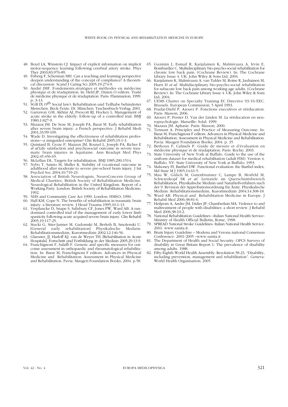- 48. Boyd LA, Winstein CJ. Impact of explicit information on implicit motor-sequence learning following cerebral artery stroke. Phys Ther 2003;83:976-89.
- 49. Friberg F, Scherman MH. Can a teaching and learning perspective deepen understanding of the concept of compliance? A theoretical discussion. Scand J Caring Sci 2005;19:274-9.
- 50. André JMF. Fondements,stratégies et méthodes en médecine physique et de réadaptation. In: Held JP, Dizien O editors. Traité de médicine physique et de réadaptation. Paris: Flammarion; 1999. p. 3-13.
- 51. SGB IX (9th Social law): Rehabilitation und Teilhabe behinderter Menschen. Beck-Texte. Dt. München: Taschenbuch-Verlag; 2001.
- 52. Garraway GM, Akhtar AJ, Prescott RJ, Hockey L. Management of acute stroke in the elderly: follow-up of a controlled trial. BMJ 1980;1:827-9.
- 53. Mazaux JM, De Seze M, Joseph PA, Barat M. Early rehabilitation after severe brain injury: a French perspective. J Rehabil Medi 2001;33:99-109.
- 54. Wade D. Investigating the effectiveness of rehabilitation professions—a misguided enterprise? Clin Rehabil 2005;19:1-3.
- 55. Quintard B, Croze P, Mazaux JM, Rouxel L, Joseph PA, Richer E *et al.*Life satisfaction and psychosocial outcome in severe traumatic brain injuries in Aquitaine. Ann Readapt Med Phys 2002;45:456-65.
- 56. McLellan DL. Targets for rehabilitation. BMJ 1985;290:1514.
- 57. Nybo T, Sainio M, Muller K. Stability of vocational outcome in adulthood after moderate to severe pre-school brain injury. J Int Psychol Soc 2004;10:719-23.
- 58. Association of British Neurologists, NeuroConcern Group of Medical Charities, British Society of Rehabilitation Medicine. Neurological Rehabilitation in the United Kingdom. Report of a Working Party. London: British Society of Rehabilitation Medicine; 1992.
- 59. NHS and Community Care Act 1990. London: HMSO; 1990.<br>60. Hall KM. Cope N. The benefits of rehabilitation in traumatic
- Hall KM, Cope N. The benefits of rehabilitation in traumatic brain injury: a literature review. J Head Trauma 1995;10:1-13.
- 61. Verplancke D, Snape S, Salisbury CF, Jones PW, Ward AB. A randomised controlled trial of the management of early lower limb spasticity following acute acquired severe brain injury. Clin Rehabil 2005;19:117-25.
- 62. Stucki G, Stier-Jarmer M, Gadomski M, Berleth B, Smolenski U. early rehabilitation] Physikalische Medizin: Rehabilitationsmedizin, Kurortmedizin 2002;12:146-56.
- 63. Glaesner, JJ, Harloff KJ, van de Weyer TH. [Rehabilitation in Acute Hospitals]. Fortschritt und Fortbildung in der Medizin 2005;29:13-9.
- 64. Franchignoni F, Salaffi F. Generic and specific measures for outcome assessment in orthopaedic and rheumatological rehabilitation. In: Barat M, Franchignoni F editors. Advances in Physical Medicine and Rehabilitation: Assessment in Physical Medicine and Rehabilitation. Pavia: Maugeri Foundation Books; 2004. p.58.
- 65. Guzmán J, Esmail R, Karjalainen K, Malmivaara A, Irvin E, Bombardier C. Multidisciplinary bio-psycho-social rehabilitation for chronic low back pain. (Cochrane Review). In: The Cochrane Library Issue 4. UK: John Wiley & Sons Ltd; 2004.
- 66. Karjalainen K, Malmivaara A, van Tulder M, Roine R, Jauhainen M, Hurri H *et al.* Multidisciplinary bio-psycho-social rehabilitation for subacute low back pain among working age adults. (Cochrane Review). In: The Cochrane Library Issue 4. UK: John Wiley & Sons Ltd; 2004.
- UEMS Charter on Specialty Training EC Directive 93/16/EEC. Brussels. European Commission; 5 April 1993.
- 68. Pradat-Diehl P, Azouvi P. Fonctions executives et rééducation. Paris: Masson; 2006.
- 69. Azouvi P, Perrier D, Van der Linden M. La rééducation en neuropsychologie. Marseille: Solal; 1999.
- 70. Mazaux JM. Aphasie. Paris: Masson; 2000.
- Tennant A. Principles and Practice of Measuring Outcome. In: Barat M, Franchignoni F editors. Advances in Physical Medicine and Rehabilitation: Assessment in Physical Medicine and Rehabilitation. Pavia: Maugeri Foundation Books; 2004. p. 35
- 72. Bethoux F, Calmels P. Guide de mesure et d'évaluation en médecine physique et de réadaptation. Paris: Roche; 2003.
- 73. State University of New York at Buffalo. Guide to the use of the uniform dataset for medical rehabilitation (adult FIM). Version 4. Buffalo, NY: State University of New York at Buffalo; 1993.
- Mahoney FI, Barthel DW. Functional evaluation: the Barthel index. Md State M J 1965;14:61-5.
- 75. Mau W, Gülich M, Gutenbrunner C, Lampe B, Morfeld M, Schwarzkopf SR *et al.* Lernziele im Querschnittsbereich Rehabilitation, Physikalische Medizin und Naturheilverfahren nach der 9. Revision der Approbationsordnung für Ärzte. Physikalische Medizin: Rehabilitationsmedizin, Kurortmedizin 2004;14:308-18.
- 76. Ward AB. Physical and Rehabilitation Medicine in Europe. J Rehabil Med 2006;38:81-6.
- 77. Heilporn A, Andre JM, Didier JP, Chamberlain MA. Violence to and maltreatment of people with disabilities: a short review. J Rehabil Med 2006;38:10-2.
- 78. National Rehabilitation Guidelines –Italian National Health Service-Ministry of Health Official Bulletin, Rome, 1998.
- 79. SPREAD National Stroke Guidelines- Italian National Health Service. 2001. www.sanita.it.
- 80. Brain Injury Guideline Modena and Verona national Consensus Conference- 2001/2005 –www.sanita.it
- 81. The Department of Health and Social Security: OPCS Surveys of disability in Great Britain Report 1: The prevalence of disability among adults. 1988.
- 82. Fifty-Eighth World Health Assembly: Resolution 58.23, "Disability, including prevention, management and rehabilitation". Geneva: World Health Organisation; 2005.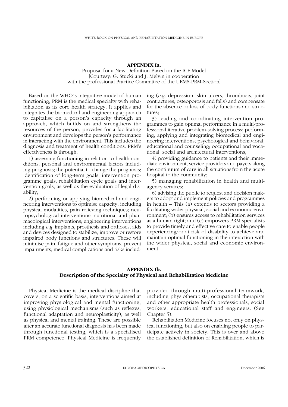#### **APPENDIX Ia.**

Proposal for a New Definition Based on the ICF-Model [Courtesy: G. Stucki and J. Melvin in cooperation with the professional Practice Committee of the UEMS-PRM-Section]

Based on the WHO´s integrative model of human functioning, PRM is the medical specialty with rehabilitation as its core health strategy. It applies and integrates the biomedical and engineering approach to capitalise on a person's capacity through an approach, which builds on and strengthens the resources of the person, provides for a facilitating environment and develops the person's performance in interacting with the environment. This includes the diagnosis and treatment of health conditions. PRM's effectiveness is through:

1) assessing functioning in relation to health conditions, personal and environmental factors including prognosis; the potential to change the prognosis; identification of long-term goals, intervention programme goals, rehabilitation cycle goals and intervention goals, as well as the evaluation of legal disability;

2) performing or applying biomedical and engineering interventions to optimise capacity, including physical modalities, pain relieving techniques; neuropsychological interventions; nutritional and pharmacological interventions; engineering interventions including *e.g.* implants, prosthesis and orthoses, aids and devices designed to stabilize, improve or restore impaired body functions and structures. These will minimise pain, fatigue and other symptoms, prevent impairments, medical complications and risks including (*e.g.* depression, skin ulcers, thrombosis, joint contractures, osteoporosis and falls) and compensate for the absence or loss of body functions and structures;

3) leading and coordinating intervention programmes to gain optimal performance in a multi-professional iterative problem-solving process; performing, applying and integrating biomedical and engineering interventions; psychological and behavioral; educational and counseling; occupational and vocational; social and architectural interventions;

4) providing guidance to patients and their immediate environment, service providers and payers along the continuum of care in all situations from the acute hospital to the community;

5) managing rehabilitation in health and multiagency services;

6) advising the public to request and decision makers to adopt and implement policies and programmes in health – This (a) extends to sectors providing a facilitating wider physical, social and economic environment; (b) ensures access to rehabilitation services as a human right; and (c) empowers PRM specialists to provide timely and effective care to enable people experiencing/or at risk of disability to achieve and maintain optimal functioning in the interaction with the wider physical, social and economic environment.

## **APPENDIX Ib. Description of the Specialty of Physical and Rehabilitation Medicine**

Physical Medicine is the medical discipline that covers, on a scientific basis, interventions aimed at improving physiological and mental functioning, using physiological mechanisms (such as reflexes, functional adaptation and neuroplasticity), as well as physical and mental training. These are possible after an accurate functional diagnosis has been made through functional testing, which is a specialised PRM competence. Physical Medicine is frequently provided through multi-professional teamwork, including physiotherapists, occupational therapists and other appropriate health professionals, social workers, educational staff and engineers. (See Chapter 5).

Rehabilitation Medicine focuses not only on physical functioning, but also on enabling people to participate actively in society. This is over and above the established definition of Rehabilitation, which is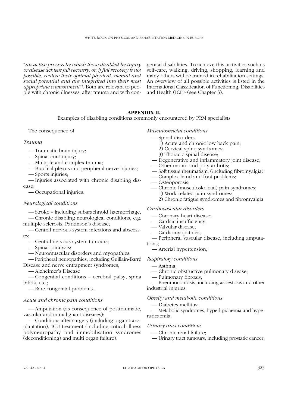"*an active process by which those disabled by injury or disease achieve full recovery, or, if full recovery is not possible, realize their optimal physical, mental and social potential and are integrated into their most appropriate environment*"2. Both are relevant to people with chronic illnesses, after trauma and with congenital disabilities. To achieve this, activities such as self-care, walking, driving, shopping, learning and many others will be trained in rehabilitation settings. An overview of all possible activities is listed in the International Classification of Functioning, Disabilities and Health (ICF)9 (see Chapter 3).

# **APPENDIX II.**

Examples of disabling conditions commonly encountered by PRM specialists

The consequence of

# *Trauma*

- Traumatic brain injury;
- Spinal cord injury;
- Multiple and complex trauma;
- Brachial plexus and peripheral nerve injuries;
- Sports injuries;

— Injuries associated with chronic disabling disease;

— Occupational injuries.

# *Neurological conditions*

— Stroke - including subarachnoid haemorrhage;

— Chronic disabling neurological conditions, e.g. multiple sclerosis, Parkinson's disease;

- Central nervous system infections and abscesses;
	- Central nervous system tumours;
	- Spinal paralysis;
	- Neuromuscular disorders and myopathies;

— Peripheral neuropathies, including Guillain-Barré Disease and nerve entrapment syndromes;

— Alzheimer's Disease

— Congenital conditions – cerebral palsy, spina bifida, etc.;

— Rare congenital problems.

# *Acute and chronic pain conditions*

— Amputation (as consequence of posttraumatic, vascular and in malignant diseases);

— Conditions after surgery (including organ transplantation), ICU treatment (including critical illness polyneuropathy and immobilisation syndromes (deconditioning) and multi organ failure).

# *Musculoskeletal conditions*

- Spinal disorders
	- 1) Acute and chronic low back pain;
	- 2) Cervical spine syndromes;
	- 3) Thoracic spinal disease;
- Degenerative and inflammatory joint disease;
- Other mono- and poly-arthritis;
- Soft tissue rheumatism, (including fibromyalgia);
- Complex hand and foot problems;
- Osteoporosis;
- Chronic (musculoskeletal) pain syndromes;
	- 1) Work-related pain syndromes;
	- 2) Chronic fatigue syndromes and fibromyalgia.

# *Cardiovascular disorders*

- Coronary heart disease;
- Cardiac insufficiency;
- Valvular disease;
- Cardiomyopathies;
- Peripheral vascular disease, including amputations;

— Arterial hypertension;

# *Respiratory conditions*

- Asthma;
- Chronic obstructive pulmonary disease;
- Pulmonary fibrosis;

— Pneumoconiosis, including asbestosis and other industrial injuries.

# *Obesity and metabolic conditions*

— Diabetes mellitus;

— Metabolic syndromes, hyperlipidaemia and hyperuricaemia.

# *Urinary tract conditions*

- Chronic renal failure;
- Urinary tract tumours, including prostatic cancer;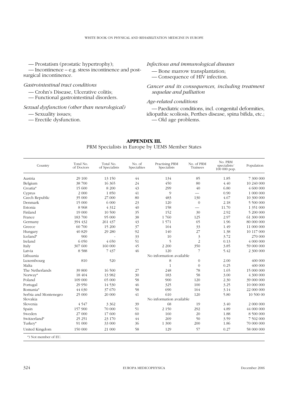— Prostatism (prostatic hypertrophy);

— Incontinence – e.g. stress incontinence and postsurgical incontinence.

# *Gastrointestinal tract conditions*

- Crohn's Disease, Ulcerative colitis;
- Functional gastrointestinal disorders.

*Sexual dysfunction (other than neurological)*

— Sexuality issues;

— Erectile dysfunction.

*Infectious and immunological diseases*

— Bone marrow transplantation; — Consequence of HIV infection.

*Cancer and its consequences, including treatment sequelae and palliation*

# *Age-related conditions*

— Paediatric conditions, incl. congenital deformities, idiopathic scoliosis, Perthes disease, spina bifida, etc.; — Old age problems.

| Country               | Total No.<br>of Doctors | Total No.<br>of Specialists | No. of<br>Specialties | Practising PRM<br>Specialists | No. of PRM<br>Trainees | No. PRM<br>specialists/<br>$100000$ pop. | Population |
|-----------------------|-------------------------|-----------------------------|-----------------------|-------------------------------|------------------------|------------------------------------------|------------|
| Austria               | 29 100                  | 13 150                      | 44                    | 134                           | 85                     | 1.85                                     | 7 300 000  |
| Belgium               | 38 700                  | 16 365                      | 24                    | 450                           | 80                     | 4.40                                     | 10 240 000 |
| Croatia*              | 15 600                  | 8 200                       | 43                    | 299                           | 40                     | 6.80                                     | 4 600 000  |
| Cyprus                | 2 0 0 0                 | 1850                        | 41                    | 9                             |                        | 0.90                                     | 1 000 000  |
| Czech Republic        | 35 000                  | 27.000                      | 80                    | 483                           | 130                    | 4.67                                     | 10 300 000 |
| Denmark               | 15 000                  | 6 000                       | 23                    | 120                           | $\mathbf{0}$           | 2.18                                     | 5 500 000  |
| Estonia               | 8 9 6 8                 | 4 3 1 2                     | 40                    | 158                           |                        | 11.70                                    | 1 351 000  |
| Finland               | 19 000                  | 10 500                      | 35                    | 152                           | 30                     | 2.92                                     | 5 200 000  |
| France                | 183 700                 | 95 000                      | 38                    | 1760                          | 125                    | 2.97                                     | 61 300 000 |
| Germany               | 394 432                 | 261 437                     | 43                    | 1571                          | 65                     | 1.96                                     | 80 000 000 |
| Greece                | 60 700                  | 15 200                      | 37                    | 164                           | 33                     | 1.49                                     | 11 000 000 |
| Hungary               | 40 829                  | 29 280                      | 92                    | 140                           | 27                     | 1.38                                     | 10 117 000 |
| Iceland*              | 900                     |                             | 33                    | 10                            | $\mathfrak{Z}$         | 3.72                                     | 270 000    |
| Ireland               | 6 0 5 0                 | 4 650                       | 51                    | 5                             | $\overline{2}$         | 0.13                                     | 4 000 000  |
| Italy                 | 307 600                 | 160 000                     | 45                    | 2 2 0 0                       | 350                    | 3.85                                     | 59 000 000 |
| Latvia                | 8588                    | 7 437                       | 46                    | 120                           | $\overline{7}$         | 5.42                                     | 2 300 000  |
| Lithuania             |                         |                             |                       | No information available      |                        |                                          |            |
| Luxembourg            | 810                     | 520                         |                       | 8                             | $\mathbf{0}$           | 2.00                                     | 400 000    |
| Malta                 |                         |                             |                       | $\mathbf{1}$                  | $\overline{0}$         | 0.25                                     | 400 000    |
| The Netherlands       | 39 800                  | 16 500                      | 27                    | 248                           | 78                     | 1.65                                     | 15 000 000 |
| Norway*               | 18 404                  | 13 982                      | 30                    | 183                           | 58                     | 3.00                                     | 4 300 000  |
| Poland                | 109 000                 | 65 000                      | 58                    | 900                           | 120                    | 2.30                                     | 39 000 000 |
| Portugal              | 29 9 50                 | 14 530                      | 46                    | 325                           | 100                    | 3.25                                     | 10 000 000 |
| Romania*              | 44 630                  | 37 670                      | 58                    | 690                           | 164                    | 3.14                                     | 22 000 000 |
| Serbia and Montenegro | 25 000                  | 20 000                      | 41                    | 610                           | 120                    | 5.80                                     | 10 500 00  |
| Slovakia              |                         | No information available    |                       |                               |                        |                                          |            |
| Slovenia              | 4547                    | 3 3 6 2                     | 39                    | 68                            | 19                     | 3.40                                     | 2 000 000  |
| Spain                 | 157 900                 | 70 000                      | 51                    | 2 1 5 0                       | 292                    | 4.89                                     | 44 000 000 |
| Sweden                | 27 000                  | 17 600                      | 60                    | 160                           | 20                     | 1.88                                     | 8 500 000  |
| Switzerland*          | 25 25 1                 | 23 170                      | 44                    | 269                           | 50                     | 3.59                                     | 7 502 000  |
| Turkey*               | 91 000                  | 33 000                      | 36                    | 1 300                         | 200                    | 1.86                                     | 70 000 000 |
| United Kingdom        | 150 000                 | 21 000                      | 58                    | 129                           | 57                     | 0.27                                     | 58 000 000 |

# **APPENDIX III.** PRM Specialists in Europe by UEMS Member States

\*) Not member of EU.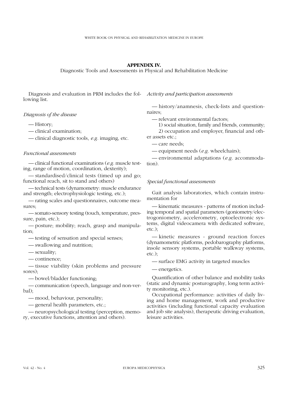# **APPENDIX IV.**

Diagnostic Tools and Assessments in Physical and Rehabilitation Medicine

Diagnosis and evaluation in PRM includes the following list.

## *Diagnosis of the disease*

— History;

— clinical examination;

— clinical diagnostic tools, *e.g.* imaging, etc.

## *Functional assessments*

— clinical functional examinations (*e.g.* muscle testing, range of motion, coordination, dexterity);

— standardised/clinical tests (timed up and go; functional reach, sit to stand and others)

— technical tests (dynamometry: muscle endurance and strength; electrophysiologic testing, etc.);

— rating scales and questionnaires, outcome measures;

— somato-sensory testing (touch, temperature, pressure, pain, etc.);

— posture; mobility; reach, grasp and manipulation;

— testing of sensation and special senses;

— swallowing and nutrition;

— sexuality;

— continence;

— tissue viability (skin problems and pressure sores);

— bowel/bladder functioning;

— communication (speech, language and non-verbal);

— mood, behaviour, personality;

— general health parameters, etc.;

— neuropsychological testing (perception, memory, executive functions, attention and others).

*Activity and participation assessments* 

— history/anamnesis, check-lists and questionnaires;

— relevant environmental factors;

— 1) social situation, family and friends, community; — 2) occupation and employer, financial and other assets etc.;

— care needs;

— equipment needs (*e.g.* wheelchairs);

— environmental adaptations (*e.g.* accommodation).

## *Special functional assessments*

Gait analysis laboratories, which contain instrumentation for

— kinematic measures - patterns of motion including temporal and spatial parameters (goniometry/electrogoniometry, accelerometry, optoelectronic systems, digital videocamera with dedicated software, etc.);

— kinetic measures - ground reaction forces (dynamometric platforms, pedobarography platforms, insole sensory systems, portable walkway systems, etc.);

— surface EMG activity in targeted muscles

— energetics.

Quantification of other balance and mobility tasks (static and dynamic posturography, long term activity monitoring, etc.).

Occupational performance: activities of daily living and home management, work and productive activities (including functional capacity evaluation and job site analysis), therapeutic driving evaluation, leisure activities.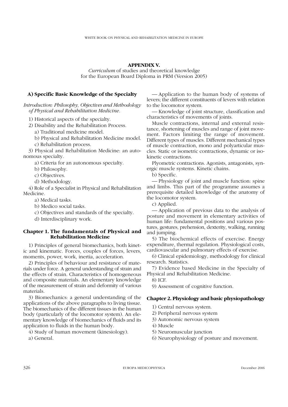## **APPENDIX V.**

*Curriculum* of studies and theoretical knowledge for the European Board Diploma in PRM (Version 2005)

# **A) Specific Basic Knowledge of the Specialty**

*Introduction: Philosophy, Objectives and Methodology of Physical and Rehabilitation Medicine.*

1) Historical aspects of the specialty.

2) Disability and the Rehabilitation Process.

a) Traditional medicine model.

2) b) Physical and Rehabilitation Medicine model. 2) c) Rehabilitation process.

3) Physical and Rehabilitation Medicine: an autonomous specialty.

a) Criteria for an autonomous specialty.

b) Philosophy.

c) Objectives.

d) Methodology.

4) Role of a Specialist in Physical and Rehabilitation Medicine.

2) a) Medical tasks.

2) b) Medico social tasks.

2) c) Objectives and standards of the specialty.

2) d) Interdisciplinary work.

# **Chapter 1. The fundamentals of Physical and Rehabilitation Medicine**

1) Principles of general biomechanics, both kinetic and kinematic. Forces, couples of forces, levers, moments, power, work, inertia, acceleration.

2) Principles of behaviour and resistance of materials under force. A general understanding of strain and the effects of strain. Characteristics of homogeneous and composite materials. An elementary knowledge of the measurement of strain and deformity of various materials.

3) Biomechanics: a general understanding of the applications of the above paragraphs to living tissue. The biomechanics of the different tissues in the human body (particularly of the locomotor system). An elementary knowledge of biomechanics of fluids and its application to fluids in the human body.

4) Study of human movement (kinesiology).

a) General.

— Application to the human body of systems of levers; the different constituents of levers with relation to the locomotor system.

— Knowledge of joint structure, classification and characteristics of movements of joints.

Muscle contractions, internal and external resistance, shortening of muscles and range of joint movement. Factors limiting the range of movement. Different types of muscles. Different mechanical types of muscle contraction, mono and polyarticular muscles. Static or isometric contractions, dynamic or isokinetic contractions.

Plyometric contractions. Agonists, antagonists, synergic muscle systems. Kinetic chains.

b) Specific.

— Physiology of joint and muscle function: spine and limbs. This part of the programme assumes a prerequisite detailed knowledge of the anatomy of the locomotor system.

c) Applied.

— Application of previous data to the analysis of posture and movement in elementary activities of human life: fundamental positions and various postures, gestures, prehension, dexterity, walking, running and jumping.

5) The biochemical effects of exercise. Energy expenditure, thermal regulation. Physiological costs, cardiovascular and pulmonary effects of exercise.

6) Clinical epidemiology, methodology for clinical research. Statistics.

7) Evidence based Medicine in the Specialty of Physical and Rehabilitation Medicine.

8) ICF.

9) Assessment of cognitive function.

# **Chapter 2. Physiology and basic physiopathology**

1) Central nervous system.

- 2) Peripheral nervous system
- 3) Autonomic nervous system
- 4) Muscle
- 5) Neuromuscular junction
- 6) Neurophysiology of posture and movement.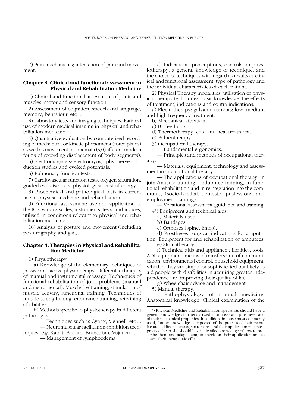7) Pain mechanisms; interaction of pain and movement.

# **Chapter 3. Clinical and functional assessment in Physical and Rehabilitation Medicine**

1) Clinical and functional assessment of joints and muscles; motor and sensory function.

2) Assessment of cognition, speech and language, memory, behaviour, etc ...

3) Laboratory tests and imaging techniques. Rational use of modern medical imaging in physical and rehabilitation medicine.

4) Quantitative evaluation by computerised recording of mechanical or kinetic phenomena (force plates) as well as movement or kinematic(s) (different modern forms of recording displacement of body segments).

5) Electrodiagnosis: electromyography, nerve conduction studies and evoked potentials.

6) Pulmonary function tests.

7) Cardiovascular function tests, oxygen saturation, graded exercise tests, physiological cost of energy.

8) Biochemical and pathological tests in current use in physical medicine and rehabilitation.

9) Functional assessment: use and application of the ICF. Various scales, instruments, tests, and indices, utilised in conditions relevant to physical and rehabilitation medicine.

10) Analysis of posture and movement (including posturography and gait).

# **Chapter 4. Therapies in Physical and Rehabilitation Medicine**

1) Physiotherapy

a) Knowledge of the elementary techniques of passive and active physiotherapy. Different techniques of manual and instrumental massage. Techniques of functional rehabilitation of joint problems (manual and instrumental). Muscle (re)training, stimulation of muscle activity, functional training. Techniques of muscle strengthening, endurance training, retraining of abilities.

b) Methods specific to physiotherapy in different pathologies.

b) — Techniques such as Cyriax, Mennell, etc ...

b) — Neuromuscular facilitation-inhibition techniques, *e.g.* Kabat, Bobath, Brunström, Vojta etc ...

b) — Management of lymphoedema

c) Indications, prescriptions, controls on physiotherapy: a general knowledge of technique, and the choice of techniques with regard to results of clinical and functional assessment, type of pathology and the individual characteristics of each patient.

2) Physical Therapy modalities: utilisation of physical therapy techniques, basic knowledge, the effects of treatment, indications and contra indications.

a) Electrotherapy: galvanic currents; low, medium and high frequency treatment.

b) Mechanical vibration.

c) Biofeedback.

d) Thermotherapy: cold and heat treatment.

e) Balneotherapy.

3) Occupational therapy.

— Fundamental ergonomics.

— Principles and methods of occupational therapy.

— Materials, equipment, technology and assessment in occupational therapy.

— The applications of occupational therapy: in joint/muscle training, endurance training, in functional rehabilitation and in reintegration into the community (socio-familial, domestic, professional and employment training).

— Vocational assessment ,guidance and training.

4\*) Equipment and technical aids.

a) Materials used. b) Bandages.

c) Orthoses (spine, limbs).

d) Prostheses: surgical indications for amputation. Equipment for and rehabilitation of amputees.

e) Stomatherapy.

f) Technical aids and appliance : facilities, tools, ADL equipment, means of transfers and of communication, environmental control, household equipment; whether they are simple or sophisticated but likely to aid people with disabilities in acquiring greater independence and improving their quality of life.

g) Wheelchair advice and management.

5) Manual therapy.

— Pathophysiology of manual medicine. Anatomical knowledge. Clinical examination of the

<sup>\*)</sup> Physical Medicine and Rehabilitation specialists should have a general knowledge of materials used in orthoses and prostheses and of their mechanical properties. In addition, in those most commonly used, further knowledge is expected of the process of their manufacture, additional extras, spare parts, and their application in clinical practice; he or she should have a detailed knowledge of how to prescribe them and adapt them, to check on their application and to assess their therapeutic effects.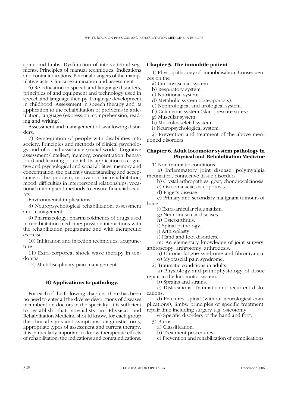spine and limbs. Dysfunction of intervertebral segments. Principles of manual techniques. Indications and contra indications. Potential dangers of the manipulative acts. Clinical examination and assessment

6) Re-education in speech and language disorders, principles of and equipment and technology used in speech and language therapy. Language development in childhood. Assessment in speech therapy and its application to the rehabilitation of problems in articulation, language (expression, comprehension, reading and writing).

Assessment and management of swallowing disorders.

7) Reintegration of people with disabilities into society. Principles and methods of clinical psychology and of social assistance (social work). Cognitive assessment (intellect, memory, concentration, behaviour) and learning potential. Its application to cognitive and psychological and social abilities: memory and concentration, the patient's understanding and acceptance of his problem, motivation for rehabilitation, mood, difficulties in interpersonal relationships; vocational training and methods to ensure financial security.

Environmental implications.

8) Neuropsychological rehabilitation: assessment and management

9) Pharmacology: pharmacokinetics of drugs used in rehabilitation medicine; possible interactions with the rehabilitation programme and with therapeutic exercise.

10) Infiltration and injection techniques; acupuncture

11) Extra-corporeal shock wave therapy in tendonitis.

12) Multidisciplinary pain management.

# **B) Applications to pathology.**

For each of the following chapters, there has been no need to enter all the diverse descriptions of diseases incumbent on doctors in the specialty. It is sufficient to establish that specialists in Physical and Rehabilitation Medicine should know, for each group the clinical signs and symptoms, diagnostic tools, appropriate types of assessment and current therapy. It is particularly important to know therapeutic effects of rehabilitation, the indications and contraindications.

## **Chapter 5. The immobile patient**

1) Physiopathology of immobilisation. Consequences on the

- a) Cardiovascular system.
- b) Respiratory system.
- c) Nutritional system.
- d) Metabolic system (osteoporosis).
- e) Nephrological and urological system.
- f ) Cutaneous system (skin-pressure sores).
- g) Muscular system.
- h) Musculoskeletal system.
- i) Neuropsychological system.

2) Prevention and treatment of the above mentioned disorders.

# **Chapter 6. Adult locomotor system pathology in Physical and Rehabilitation Medicine**

1) Non traumatic conditions

a) Inflammatory joint disease, polymyalgia rheumatica, connective tissue disorders.

b) Crystal arthropathies. gout, chondrocalcinosis.

- c) Osteomalacia, osteoporosis.
- d) Paget's disease.

e) Primary and secondary malignant tumours of bone.

- f) Extra-articular rheumatism.
- g) Neuromuscular diseases.
- h) Osteoarthritis.
- i) Spinal pathology.
- j) Arthroplasty.
- l) Hand and foot disorders.

m) An elementary knowledge of joint surgery: arthroscopy, arthrotomy, arthrodesis.

n) Chronic fatigue syndrome and fibromyalgia.

o) Myofascial pain syndrome.

2) Traumatic conditions in adults.

a) Physiology and pathophysiology of tissue repair in the locomotor system.

b) Sprains and strains.

c) Dislocations. Traumatic and recurrent dislocations.

d) Fractures: spinal (without neurological complications), limbs: principles of specific treatment, repair time including surgery *e.g.* osteotomy.

e) Specific disorders of the hand and foot.

- 3) Burns:
	- a) Classification.
	- b) Treatment procedures.
	- c) Prevention and rehabilitation of complications.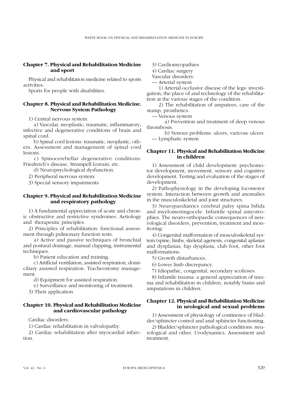## **Chapter 7. Physical and Rehabilitation Medicine and sport**

Physical and rehabilitation medicine related to sports activities.

Sports for people with disabilities.

## **Chapter 8. Physical and Rehabilitation Medicine. Nervous System Pathology**

1) Central nervous system.

a) Vascular, neoplastic, traumatic, inflammatory, infective and degenerative conditions of brain and spinal cord.

b) Spinal cord lesions: traumatic, neoplastic, others. Assessment and management of spinal cord lesions.

c) Spinocerebellar degenerative conditions: Friedreich's disease, Strumpell Lorrain, etc.

d) Neuropsychological dysfunction.

2) Peripheral nervous system.

3) Special sensory impairments

# **Chapter 9. Physical and Rehabilitation Medicine and respiratory pathology**

1) A fundamental appreciation of acute and chronic obstructive and restrictive syndromes. Aetiology and therapeutic principles.

2) Principles of rehabilitation: functional assessment through pulmonary function tests.

a) Active and passive techniques of bronchial and postural drainage, manual clapping, instrumental techniques.

b) Patient education and training.

c) Artificial ventilation, assisted respiration, domiciliary assisted respiration. Tracheostomy management.

d) Equipment for assisted respiration.

e) Surveillance and monitoring of treatment.

3) Their application

# **Chapter 10. Physical and Rehabilitation Medicine and cardiovascular pathology**

Cardiac disorders:

1) Cardiac rehabilitation in valvulopathy.

2) Cardiac rehabilitation after myocardial infarction.

3) Cardiomyopathies

4) Cardiac surgery

Vascular disorders:

— Arterial system

— 1) Arterial occlusive disease of the legs: investigation, the place of and technology of the rehabilitation at the various stages of the condition.

— 2) The rehabilitation of amputees, care of the stump, prosthetics.

— Venous system

a) Prevention and treatment of deep venous thrombosis.

b) Venous problems: ulcers, varicose ulcers. — Lymphatic system

# **Chapter 11. Physical and Rehabilitation Medicine in children**

1) Assessment of child development: psychomotor development, movement, sensory and cognitive development. Testing and evaluation of the stages of development.

2) Pathophysiology in the developing locomotor system. Interaction between growth and anomalies in the musculoskeletal and joint structures.

3) Neuropaediatrics cerebral palsy spina bifida and myelomeningocele. Infantile spinal amyotrophies. The neuro-orthopaedic consequences of neurological disorders, prevention, treatment and monitoring.

4) Congenital malformation of musculoskeletal system (spine, limbs, skeletal agenesis, congenital aplasias and dysplasias; hip dysplasia, club foot, other foot malformations.

5) Growth disturbances.

6) Lower limb discrepancy.

7) Idiopathic, congenital, secondary scolioses.

8) Infantile trauma: a general appreciation of trauma and rehabilitation in children, notably bums and amputations in children.

# **Chapter 12. Physical and Rehabilitation Medicine in urological and sexual problems**

1) Assessment of physiology of continence of bladder/sphincter control and anal sphincter functioning.

2) Bladder/sphincter pathological conditions: neurological and other. Urodynamics. Assessment and treatment.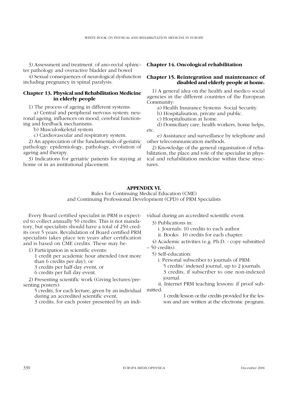3) Assessment and treatment. of ano-rectal sphincter pathology and overactive bladder and bowel

4) Sexual consequences of neurological dysfunction including pregnancy in spinal paralysis.

# **Chapter 13. Physical and Rehabilitation Medicine in elderly people**

1) The process of ageing in different systems:

a) Central and peripheral nervous system: neuronal ageing, influences on mood, cerebral functioning and feedback mechanisms.

b) Musculoskeletal system

c) Cardiovascular and respiratory system.

2) An appreciation of the fundamentals of geriatric pathology: epidemiology, pathology, evolution of ageing and therapy.

3) Indications for geriatric patients for staying at home or in an institutional placement.

## **Chapter 14. Oncological rehabilitation**

# **Chapter 15. Reintegration and maintenance of disabled and elderly people at home.**

1) A general idea on the health and medico social agencies in the different countries of the European Community:

a) Health Insurance Systems Social Security.

b) Hospitalisation, private and public.

c) Hospitalisation at home.

d) Domiciliary care, health workers, home helps, etc.

e) Assistance and surveillance by telephone and other telecommunication methods.

2) Knowledge of the general organisation of rehabilitation, the place and role of the specialist in physical and rehabilitation medicine within these structures.

# **APPENDIX VI.**

Rules for Continuing Medical Education (CME) and Continuing Professional Development (CPD) of PRM Specialists

Every Board certified specialist in PRM is expected to collect annually 50 credits. This is not mandatory, but specialists should have a total of 250 credits over 5 years. Revalidation of Board certified PRM specialists takes place ten years after certification and is based on CME credits. These may be:

1) Participation in scientific events:

1) 1 credit per academic hour attended (not more

than 6 credits per day), or

1) 3 credits per half-day event, or

1) 6 credits per full day event.

2) Presenting scientific work (Giving lectures/presenting posters):

1) 5 credits, for each lecture, given by an individual during an accredited scientific event,

1) 3 credits, for each poster presented by an indi-

vidual during an accredited scientific event.

3) Publications in:

i. Journals: 10 credits to each author.

ii. Books: 10 credits for each chapter.

4) Academic activities (e.g. Ph.D. - copy submitted

– 50 credits).

5) Self-education:

i. Personal subscriber to journals of PRM:

1) i. 5 credits/ indexed journal, up to 2 journals. 1) i. 3 credits, if subscriber to one non-indexed journal.

ii. Internet PRM teaching lessons: if proof submitted:

> 1 credit/lesson or the credits provided for the lesson and are written at the electronic program.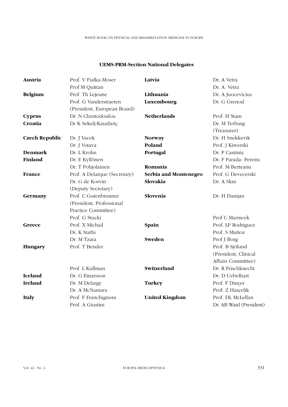# **UEMS-PRM-Section National Delegates**

| Austria               | Prof. V Fialka-Moser         | Latvia                | Dr. A Vetra             |
|-----------------------|------------------------------|-----------------------|-------------------------|
|                       | Prof M Quittan               |                       | Dr. A. Vetra            |
| <b>Belgium</b>        | Prof. Th Lejeune             | Lithuania             | Dr. A Juocevicius       |
|                       | Prof. G Vanderstraeten       | Luxembourg            | Dr. G Grenod            |
|                       | (President, European Board)  |                       |                         |
| <b>Cyprus</b>         | Dr. N Christodoulou          | <b>Netherlands</b>    | Prof. H Stam            |
| Croatia               | Dr K Sekelj-Kauzlariç        |                       | Dr. M Terburg           |
|                       |                              |                       | (Treasurer)             |
| <b>Czech Republic</b> | Dr. J Vacek                  | <b>Norway</b>         | Dr. H Snekkevik         |
|                       | Dr. J Votava                 | Poland                | Prof. J Kiwerski        |
| <b>Denmark</b>        | Dr. L Krohn                  | Portugal              | Dr. P Cantista          |
| Finland               | Dr. E Kyllônen               |                       | Dr. F Parada- Pereira   |
|                       | Dr. T Pohjolainen            | Romania               | Prof. M Berteanu        |
| France                | Prof. A Delarque (Secretary) | Serbia and Montenegro | Prof. G Devecerski      |
|                       | Dr. G de Korvin              | Slovakia              | Dr. A Skm               |
|                       | (Deputy Secretary)           |                       |                         |
| Germany               | Prof. C Gutenbrunner         | Slovenia              | Dr. H Damjan            |
|                       | (President, Professional     |                       |                         |
|                       | Practice Committee)          |                       |                         |
|                       | Prof. G Stucki               |                       | Prof C Marincek         |
| Greece                | Prof. X Michail              | Spain                 | Prof. LP Rodriguez      |
|                       | Dr. K Stathi                 |                       | Prof. S Muñoz           |
|                       | Dr. M Tzara                  | Sweden                | Prof J Borg             |
| Hungary               | Prof. T Bender               |                       | Prof. B Sjölund         |
|                       |                              |                       | (President, Clinical    |
|                       |                              |                       | Affairs Committee)      |
|                       | Prof. L Kullman              | Switzerland           | Dr. R Frischknecht      |
| <b>Iceland</b>        | Dr. G Einarsson              |                       | Dr. D Uebelhart         |
| Ireland               | Dr. M Delargy                | <b>Turkey</b>         | Prof. F Dincer          |
|                       | Dr. A McNamara               |                       | Prof. Z Hascelik        |
| Italy                 | Prof. F Franchignoni         | <b>United Kingdom</b> | Prof. DL McLellan       |
|                       | Prof. A Giustini             |                       | Dr. AB Ward (President) |